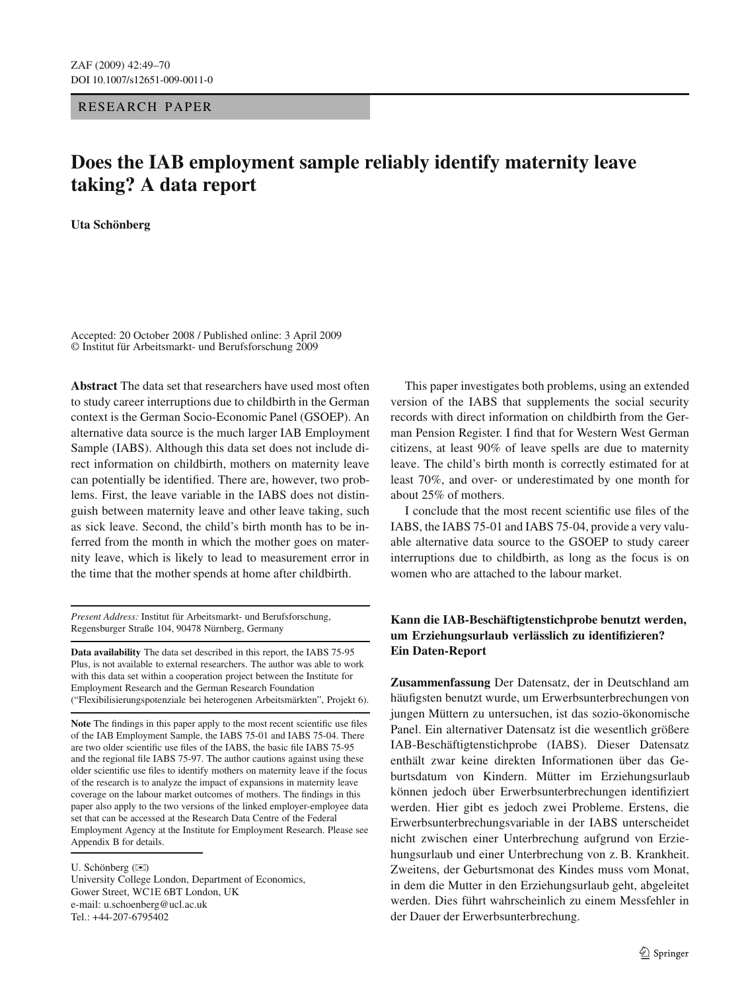RESEARCH PAPER

# **Does the IAB employment sample reliably identify maternity leave taking? A data report**

**Uta Schönberg**

Accepted: 20 October 2008 / Published online: 3 April 2009 © Institut für Arbeitsmarkt- und Berufsforschung 2009

**Abstract** The data set that researchers have used most often to study career interruptions due to childbirth in the German context is the German Socio-Economic Panel (GSOEP). An alternative data source is the much larger IAB Employment Sample (IABS). Although this data set does not include direct information on childbirth, mothers on maternity leave can potentially be identified. There are, however, two problems. First, the leave variable in the IABS does not distinguish between maternity leave and other leave taking, such as sick leave. Second, the child's birth month has to be inferred from the month in which the mother goes on maternity leave, which is likely to lead to measurement error in the time that the mother spends at home after childbirth.

*Present Address:* Institut für Arbeitsmarkt- und Berufsforschung, Regensburger Straße 104, 90478 Nürnberg, Germany

**Data availability** The data set described in this report, the IABS 75-95 Plus, is not available to external researchers. The author was able to work with this data set within a cooperation project between the Institute for Employment Research and the German Research Foundation ("Flexibilisierungspotenziale bei heterogenen Arbeitsmärkten", Projekt 6).

**Note** The findings in this paper apply to the most recent scientific use files of the IAB Employment Sample, the IABS 75-01 and IABS 75-04. There are two older scientific use files of the IABS, the basic file IABS 75-95 and the regional file IABS 75-97. The author cautions against using these older scientific use files to identify mothers on maternity leave if the focus of the research is to analyze the impact of expansions in maternity leave coverage on the labour market outcomes of mothers. The findings in this paper also apply to the two versions of the linked employer-employee data set that can be accessed at the Research Data Centre of the Federal Employment Agency at the Institute for Employment Research. Please see Appendix B for details.

U. Schönberg ( $\boxtimes$ )

This paper investigates both problems, using an extended version of the IABS that supplements the social security records with direct information on childbirth from the German Pension Register. I find that for Western West German citizens, at least 90% of leave spells are due to maternity leave. The child's birth month is correctly estimated for at least 70%, and over- or underestimated by one month for about 25% of mothers.

I conclude that the most recent scientific use files of the IABS, the IABS 75-01 and IABS 75-04, provide a very valuable alternative data source to the GSOEP to study career interruptions due to childbirth, as long as the focus is on women who are attached to the labour market.

# **Kann die IAB-Beschäftigtenstichprobe benutzt werden, um Erziehungsurlaub verlässlich zu identifizieren? Ein Daten-Report**

**Zusammenfassung** Der Datensatz, der in Deutschland am häufigsten benutzt wurde, um Erwerbsunterbrechungen von jungen Müttern zu untersuchen, ist das sozio-ökonomische Panel. Ein alternativer Datensatz ist die wesentlich größere IAB-Beschäftigtenstichprobe (IABS). Dieser Datensatz enthält zwar keine direkten Informationen über das Geburtsdatum von Kindern. Mütter im Erziehungsurlaub können jedoch über Erwerbsunterbrechungen identifiziert werden. Hier gibt es jedoch zwei Probleme. Erstens, die Erwerbsunterbrechungsvariable in der IABS unterscheidet nicht zwischen einer Unterbrechung aufgrund von Erziehungsurlaub und einer Unterbrechung von z. B. Krankheit. Zweitens, der Geburtsmonat des Kindes muss vom Monat, in dem die Mutter in den Erziehungsurlaub geht, abgeleitet werden. Dies führt wahrscheinlich zu einem Messfehler in der Dauer der Erwerbsunterbrechung.

University College London, Department of Economics, Gower Street, WC1E 6BT London, UK e-mail: u.schoenberg@ucl.ac.uk Tel.: +44-207-6795402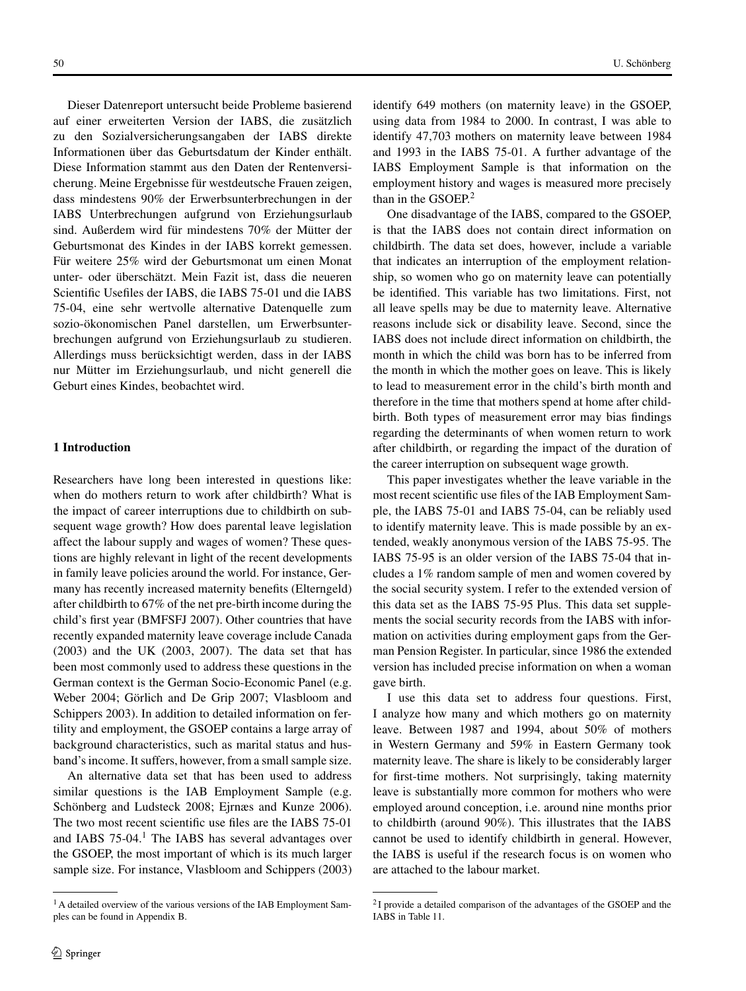Dieser Datenreport untersucht beide Probleme basierend auf einer erweiterten Version der IABS, die zusätzlich zu den Sozialversicherungsangaben der IABS direkte Informationen über das Geburtsdatum der Kinder enthält. Diese Information stammt aus den Daten der Rentenversicherung. Meine Ergebnisse für westdeutsche Frauen zeigen, dass mindestens 90% der Erwerbsunterbrechungen in der IABS Unterbrechungen aufgrund von Erziehungsurlaub sind. Außerdem wird für mindestens 70% der Mütter der Geburtsmonat des Kindes in der IABS korrekt gemessen. Für weitere 25% wird der Geburtsmonat um einen Monat unter- oder überschätzt. Mein Fazit ist, dass die neueren Scientific Usefiles der IABS, die IABS 75-01 und die IABS 75-04, eine sehr wertvolle alternative Datenquelle zum sozio-ökonomischen Panel darstellen, um Erwerbsunterbrechungen aufgrund von Erziehungsurlaub zu studieren. Allerdings muss berücksichtigt werden, dass in der IABS nur Mütter im Erziehungsurlaub, und nicht generell die Geburt eines Kindes, beobachtet wird.

#### **1 Introduction**

Researchers have long been interested in questions like: when do mothers return to work after childbirth? What is the impact of career interruptions due to childbirth on subsequent wage growth? How does parental leave legislation affect the labour supply and wages of women? These questions are highly relevant in light of the recent developments in family leave policies around the world. For instance, Germany has recently increased maternity benefits (Elterngeld) after childbirth to 67% of the net pre-birth income during the child's first year (BMFSFJ 2007). Other countries that have recently expanded maternity leave coverage include Canada (2003) and the UK (2003, 2007). The data set that has been most commonly used to address these questions in the German context is the German Socio-Economic Panel (e.g. Weber 2004; Görlich and De Grip 2007; Vlasbloom and Schippers 2003). In addition to detailed information on fertility and employment, the GSOEP contains a large array of background characteristics, such as marital status and husband's income. It suffers, however, from a small sample size.

An alternative data set that has been used to address similar questions is the IAB Employment Sample (e.g. Schönberg and Ludsteck 2008; Ejrnæs and Kunze 2006). The two most recent scientific use files are the IABS 75-01 and IABS  $75{\text -}04$ .<sup>1</sup> The IABS has several advantages over the GSOEP, the most important of which is its much larger sample size. For instance, Vlasbloom and Schippers (2003) identify 649 mothers (on maternity leave) in the GSOEP, using data from 1984 to 2000. In contrast, I was able to identify 47,703 mothers on maternity leave between 1984 and 1993 in the IABS 75-01. A further advantage of the IABS Employment Sample is that information on the employment history and wages is measured more precisely than in the GSOEP.<sup>2</sup>

One disadvantage of the IABS, compared to the GSOEP, is that the IABS does not contain direct information on childbirth. The data set does, however, include a variable that indicates an interruption of the employment relationship, so women who go on maternity leave can potentially be identified. This variable has two limitations. First, not all leave spells may be due to maternity leave. Alternative reasons include sick or disability leave. Second, since the IABS does not include direct information on childbirth, the month in which the child was born has to be inferred from the month in which the mother goes on leave. This is likely to lead to measurement error in the child's birth month and therefore in the time that mothers spend at home after childbirth. Both types of measurement error may bias findings regarding the determinants of when women return to work after childbirth, or regarding the impact of the duration of the career interruption on subsequent wage growth.

This paper investigates whether the leave variable in the most recent scientific use files of the IAB Employment Sample, the IABS 75-01 and IABS 75-04, can be reliably used to identify maternity leave. This is made possible by an extended, weakly anonymous version of the IABS 75-95. The IABS 75-95 is an older version of the IABS 75-04 that includes a 1% random sample of men and women covered by the social security system. I refer to the extended version of this data set as the IABS 75-95 Plus. This data set supplements the social security records from the IABS with information on activities during employment gaps from the German Pension Register. In particular, since 1986 the extended version has included precise information on when a woman gave birth.

I use this data set to address four questions. First, I analyze how many and which mothers go on maternity leave. Between 1987 and 1994, about 50% of mothers in Western Germany and 59% in Eastern Germany took maternity leave. The share is likely to be considerably larger for first-time mothers. Not surprisingly, taking maternity leave is substantially more common for mothers who were employed around conception, i.e. around nine months prior to childbirth (around 90%). This illustrates that the IABS cannot be used to identify childbirth in general. However, the IABS is useful if the research focus is on women who are attached to the labour market.

<sup>&</sup>lt;sup>1</sup>A detailed overview of the various versions of the IAB Employment Samples can be found in Appendix B.

 $2I$  provide a detailed comparison of the advantages of the GSOEP and the IABS in Table 11.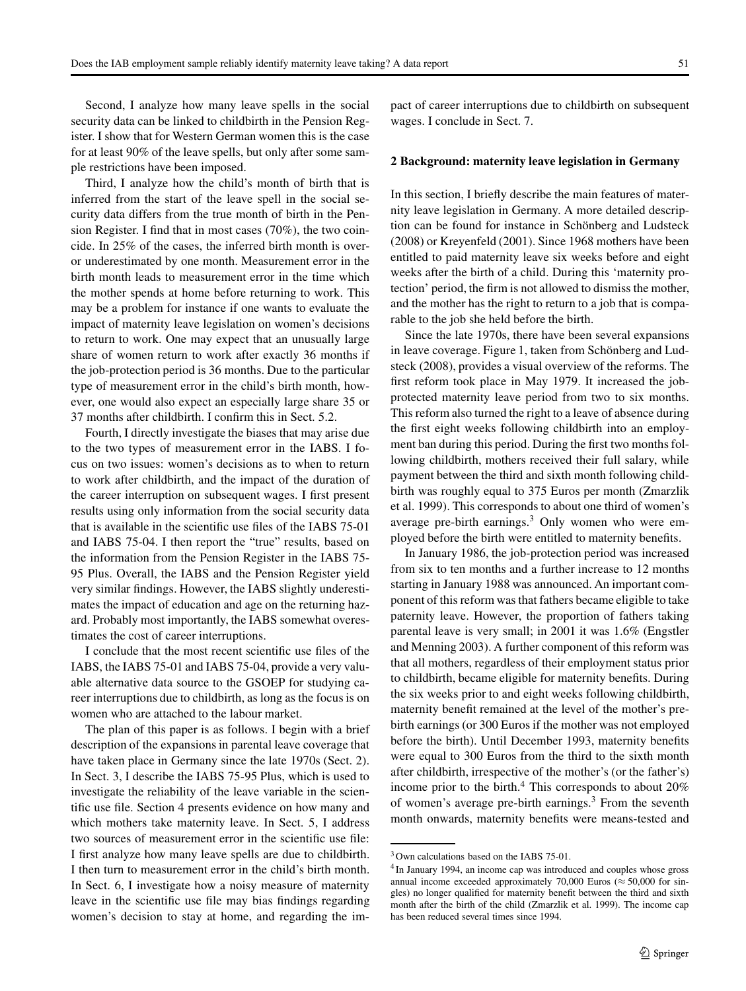Second, I analyze how many leave spells in the social security data can be linked to childbirth in the Pension Register. I show that for Western German women this is the case for at least 90% of the leave spells, but only after some sample restrictions have been imposed.

Third, I analyze how the child's month of birth that is inferred from the start of the leave spell in the social security data differs from the true month of birth in the Pension Register. I find that in most cases (70%), the two coincide. In 25% of the cases, the inferred birth month is overor underestimated by one month. Measurement error in the birth month leads to measurement error in the time which the mother spends at home before returning to work. This may be a problem for instance if one wants to evaluate the impact of maternity leave legislation on women's decisions to return to work. One may expect that an unusually large share of women return to work after exactly 36 months if the job-protection period is 36 months. Due to the particular type of measurement error in the child's birth month, however, one would also expect an especially large share 35 or 37 months after childbirth. I confirm this in Sect. 5.2.

Fourth, I directly investigate the biases that may arise due to the two types of measurement error in the IABS. I focus on two issues: women's decisions as to when to return to work after childbirth, and the impact of the duration of the career interruption on subsequent wages. I first present results using only information from the social security data that is available in the scientific use files of the IABS 75-01 and IABS 75-04. I then report the "true" results, based on the information from the Pension Register in the IABS 75- 95 Plus. Overall, the IABS and the Pension Register yield very similar findings. However, the IABS slightly underestimates the impact of education and age on the returning hazard. Probably most importantly, the IABS somewhat overestimates the cost of career interruptions.

I conclude that the most recent scientific use files of the IABS, the IABS 75-01 and IABS 75-04, provide a very valuable alternative data source to the GSOEP for studying career interruptions due to childbirth, as long as the focus is on women who are attached to the labour market.

The plan of this paper is as follows. I begin with a brief description of the expansions in parental leave coverage that have taken place in Germany since the late 1970s (Sect. 2). In Sect. 3, I describe the IABS 75-95 Plus, which is used to investigate the reliability of the leave variable in the scientific use file. Section 4 presents evidence on how many and which mothers take maternity leave. In Sect. 5, I address two sources of measurement error in the scientific use file: I first analyze how many leave spells are due to childbirth. I then turn to measurement error in the child's birth month. In Sect. 6, I investigate how a noisy measure of maternity leave in the scientific use file may bias findings regarding women's decision to stay at home, and regarding the impact of career interruptions due to childbirth on subsequent wages. I conclude in Sect. 7.

#### **2 Background: maternity leave legislation in Germany**

In this section, I briefly describe the main features of maternity leave legislation in Germany. A more detailed description can be found for instance in Schönberg and Ludsteck (2008) or Kreyenfeld (2001). Since 1968 mothers have been entitled to paid maternity leave six weeks before and eight weeks after the birth of a child. During this 'maternity protection' period, the firm is not allowed to dismiss the mother, and the mother has the right to return to a job that is comparable to the job she held before the birth.

Since the late 1970s, there have been several expansions in leave coverage. Figure 1, taken from Schönberg and Ludsteck (2008), provides a visual overview of the reforms. The first reform took place in May 1979. It increased the jobprotected maternity leave period from two to six months. This reform also turned the right to a leave of absence during the first eight weeks following childbirth into an employment ban during this period. During the first two months following childbirth, mothers received their full salary, while payment between the third and sixth month following childbirth was roughly equal to 375 Euros per month (Zmarzlik et al. 1999). This corresponds to about one third of women's average pre-birth earnings.<sup>3</sup> Only women who were employed before the birth were entitled to maternity benefits.

In January 1986, the job-protection period was increased from six to ten months and a further increase to 12 months starting in January 1988 was announced. An important component of this reform was that fathers became eligible to take paternity leave. However, the proportion of fathers taking parental leave is very small; in 2001 it was 1.6% (Engstler and Menning 2003). A further component of this reform was that all mothers, regardless of their employment status prior to childbirth, became eligible for maternity benefits. During the six weeks prior to and eight weeks following childbirth, maternity benefit remained at the level of the mother's prebirth earnings (or 300 Euros if the mother was not employed before the birth). Until December 1993, maternity benefits were equal to 300 Euros from the third to the sixth month after childbirth, irrespective of the mother's (or the father's) income prior to the birth.<sup>4</sup> This corresponds to about  $20\%$ of women's average pre-birth earnings. $3$  From the seventh month onwards, maternity benefits were means-tested and

<sup>&</sup>lt;sup>3</sup> Own calculations based on the IABS 75-01.

<sup>4</sup> In January 1994, an income cap was introduced and couples whose gross annual income exceeded approximately 70,000 Euros ( $\approx$  50,000 for singles) no longer qualified for maternity benefit between the third and sixth month after the birth of the child (Zmarzlik et al. 1999). The income cap has been reduced several times since 1994.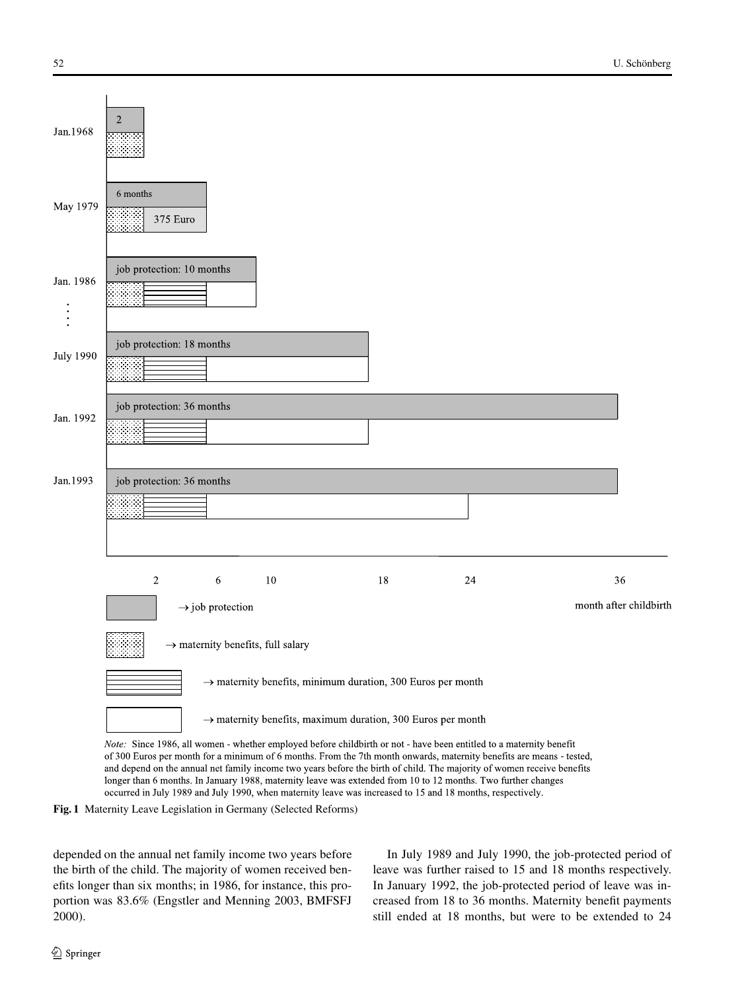

and depend on the annual net family income two years before the birth of child. The majority of women receive benefits longer than 6 months. In January 1988, maternity leave was extended from 10 to 12 months. Two further changes occurred in July 1989 and July 1990, when maternity leave was increased to 15 and 18 months, respectively.



depended on the annual net family income two years before the birth of the child. The majority of women received benefits longer than six months; in 1986, for instance, this proportion was 83.6% (Engstler and Menning 2003, BMFSFJ 2000).

In July 1989 and July 1990, the job-protected period of leave was further raised to 15 and 18 months respectively. In January 1992, the job-protected period of leave was increased from 18 to 36 months. Maternity benefit payments still ended at 18 months, but were to be extended to 24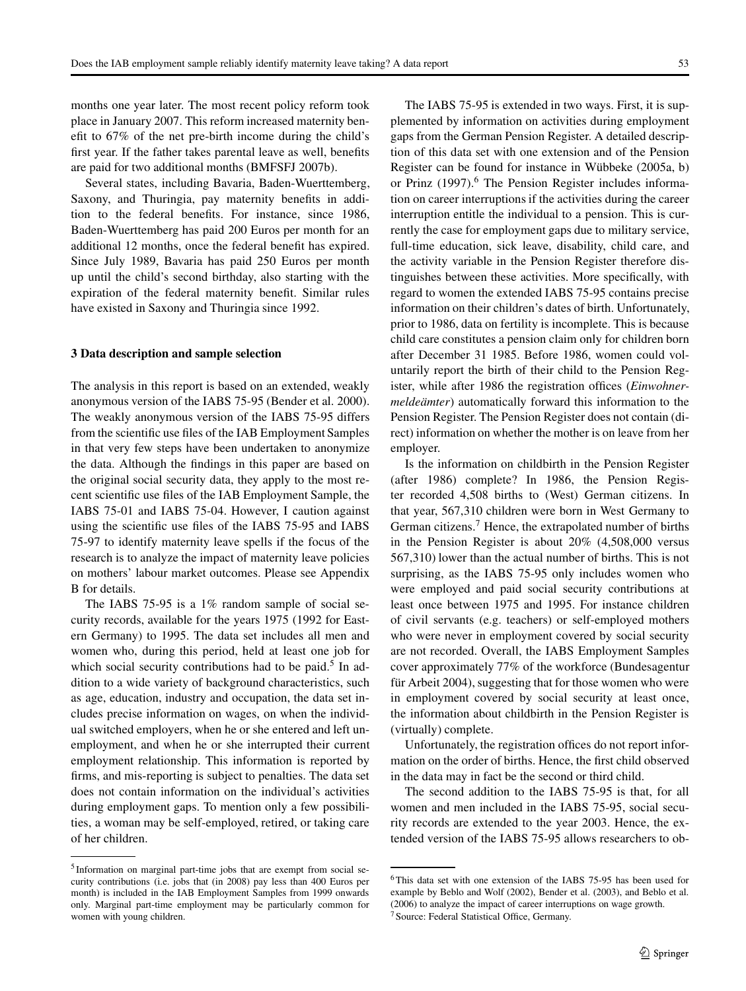months one year later. The most recent policy reform took place in January 2007. This reform increased maternity benefit to 67% of the net pre-birth income during the child's first year. If the father takes parental leave as well, benefits are paid for two additional months (BMFSFJ 2007b).

Several states, including Bavaria, Baden-Wuerttemberg, Saxony, and Thuringia, pay maternity benefits in addition to the federal benefits. For instance, since 1986, Baden-Wuerttemberg has paid 200 Euros per month for an additional 12 months, once the federal benefit has expired. Since July 1989, Bavaria has paid 250 Euros per month up until the child's second birthday, also starting with the expiration of the federal maternity benefit. Similar rules have existed in Saxony and Thuringia since 1992.

## **3 Data description and sample selection**

The analysis in this report is based on an extended, weakly anonymous version of the IABS 75-95 (Bender et al. 2000). The weakly anonymous version of the IABS 75-95 differs from the scientific use files of the IAB Employment Samples in that very few steps have been undertaken to anonymize the data. Although the findings in this paper are based on the original social security data, they apply to the most recent scientific use files of the IAB Employment Sample, the IABS 75-01 and IABS 75-04. However, I caution against using the scientific use files of the IABS 75-95 and IABS 75-97 to identify maternity leave spells if the focus of the research is to analyze the impact of maternity leave policies on mothers' labour market outcomes. Please see Appendix B for details.

The IABS 75-95 is a 1% random sample of social security records, available for the years 1975 (1992 for Eastern Germany) to 1995. The data set includes all men and women who, during this period, held at least one job for which social security contributions had to be paid.<sup>5</sup> In addition to a wide variety of background characteristics, such as age, education, industry and occupation, the data set includes precise information on wages, on when the individual switched employers, when he or she entered and left unemployment, and when he or she interrupted their current employment relationship. This information is reported by firms, and mis-reporting is subject to penalties. The data set does not contain information on the individual's activities during employment gaps. To mention only a few possibilities, a woman may be self-employed, retired, or taking care of her children.

The IABS 75-95 is extended in two ways. First, it is supplemented by information on activities during employment gaps from the German Pension Register. A detailed description of this data set with one extension and of the Pension Register can be found for instance in Wübbeke (2005a, b) or Prinz (1997).<sup>6</sup> The Pension Register includes information on career interruptions if the activities during the career interruption entitle the individual to a pension. This is currently the case for employment gaps due to military service, full-time education, sick leave, disability, child care, and the activity variable in the Pension Register therefore distinguishes between these activities. More specifically, with regard to women the extended IABS 75-95 contains precise information on their children's dates of birth. Unfortunately, prior to 1986, data on fertility is incomplete. This is because child care constitutes a pension claim only for children born after December 31 1985. Before 1986, women could voluntarily report the birth of their child to the Pension Register, while after 1986 the registration offices (*Einwohnermeldeämter*) automatically forward this information to the Pension Register. The Pension Register does not contain (direct) information on whether the mother is on leave from her employer.

Is the information on childbirth in the Pension Register (after 1986) complete? In 1986, the Pension Register recorded 4,508 births to (West) German citizens. In that year, 567,310 children were born in West Germany to German citizens.<sup>7</sup> Hence, the extrapolated number of births in the Pension Register is about 20% (4,508,000 versus 567,310) lower than the actual number of births. This is not surprising, as the IABS 75-95 only includes women who were employed and paid social security contributions at least once between 1975 and 1995. For instance children of civil servants (e.g. teachers) or self-employed mothers who were never in employment covered by social security are not recorded. Overall, the IABS Employment Samples cover approximately 77% of the workforce (Bundesagentur für Arbeit 2004), suggesting that for those women who were in employment covered by social security at least once, the information about childbirth in the Pension Register is (virtually) complete.

Unfortunately, the registration offices do not report information on the order of births. Hence, the first child observed in the data may in fact be the second or third child.

The second addition to the IABS 75-95 is that, for all women and men included in the IABS 75-95, social security records are extended to the year 2003. Hence, the extended version of the IABS 75-95 allows researchers to ob-

<sup>5</sup> Information on marginal part-time jobs that are exempt from social security contributions (i.e. jobs that (in 2008) pay less than 400 Euros per month) is included in the IAB Employment Samples from 1999 onwards only. Marginal part-time employment may be particularly common for women with young children.

<sup>6</sup>This data set with one extension of the IABS 75-95 has been used for example by Beblo and Wolf (2002), Bender et al. (2003), and Beblo et al. (2006) to analyze the impact of career interruptions on wage growth. 7Source: Federal Statistical Office, Germany.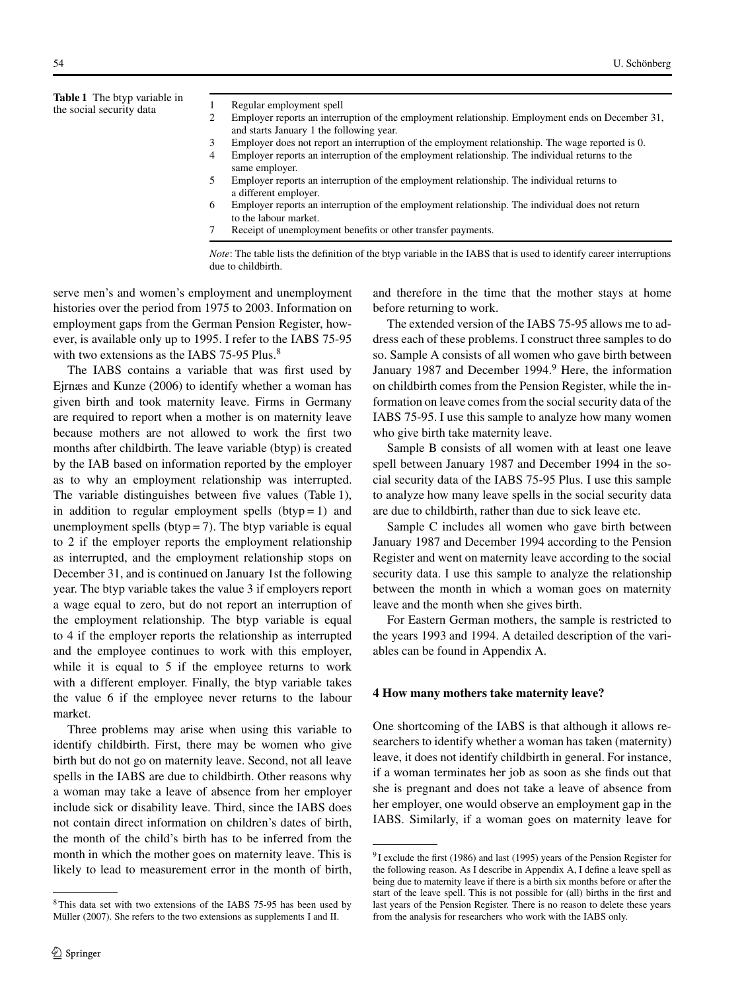**Table 1** The btyp variable in the social security data

- 1 Regular employment spell
- 2 Employer reports an interruption of the employment relationship. Employment ends on December 31, and starts January 1 the following year.
- 3 Employer does not report an interruption of the employment relationship. The wage reported is 0.
- 4 Employer reports an interruption of the employment relationship. The individual returns to the same employer.
- 5 Employer reports an interruption of the employment relationship. The individual returns to a different employer.
- 6 Employer reports an interruption of the employment relationship. The individual does not return to the labour market.
- 7 Receipt of unemployment benefits or other transfer payments.

*Note*: The table lists the definition of the btyp variable in the IABS that is used to identify career interruptions due to childbirth.

serve men's and women's employment and unemployment histories over the period from 1975 to 2003. Information on employment gaps from the German Pension Register, however, is available only up to 1995. I refer to the IABS 75-95 with two extensions as the IABS 75-95 Plus.<sup>8</sup>

The IABS contains a variable that was first used by Ejrnæs and Kunze (2006) to identify whether a woman has given birth and took maternity leave. Firms in Germany are required to report when a mother is on maternity leave because mothers are not allowed to work the first two months after childbirth. The leave variable (btyp) is created by the IAB based on information reported by the employer as to why an employment relationship was interrupted. The variable distinguishes between five values (Table 1), in addition to regular employment spells  $(btyp = 1)$  and unemployment spells ( $btyp = 7$ ). The btyp variable is equal to 2 if the employer reports the employment relationship as interrupted, and the employment relationship stops on December 31, and is continued on January 1st the following year. The btyp variable takes the value 3 if employers report a wage equal to zero, but do not report an interruption of the employment relationship. The btyp variable is equal to 4 if the employer reports the relationship as interrupted and the employee continues to work with this employer, while it is equal to 5 if the employee returns to work with a different employer. Finally, the btyp variable takes the value 6 if the employee never returns to the labour market.

Three problems may arise when using this variable to identify childbirth. First, there may be women who give birth but do not go on maternity leave. Second, not all leave spells in the IABS are due to childbirth. Other reasons why a woman may take a leave of absence from her employer include sick or disability leave. Third, since the IABS does not contain direct information on children's dates of birth, the month of the child's birth has to be inferred from the month in which the mother goes on maternity leave. This is likely to lead to measurement error in the month of birth, and therefore in the time that the mother stays at home before returning to work.

The extended version of the IABS 75-95 allows me to address each of these problems. I construct three samples to do so. Sample A consists of all women who gave birth between January 1987 and December 1994.<sup>9</sup> Here, the information on childbirth comes from the Pension Register, while the information on leave comes from the social security data of the IABS 75-95. I use this sample to analyze how many women who give birth take maternity leave.

Sample B consists of all women with at least one leave spell between January 1987 and December 1994 in the social security data of the IABS 75-95 Plus. I use this sample to analyze how many leave spells in the social security data are due to childbirth, rather than due to sick leave etc.

Sample C includes all women who gave birth between January 1987 and December 1994 according to the Pension Register and went on maternity leave according to the social security data. I use this sample to analyze the relationship between the month in which a woman goes on maternity leave and the month when she gives birth.

For Eastern German mothers, the sample is restricted to the years 1993 and 1994. A detailed description of the variables can be found in Appendix A.

### **4 How many mothers take maternity leave?**

One shortcoming of the IABS is that although it allows researchers to identify whether a woman has taken (maternity) leave, it does not identify childbirth in general. For instance, if a woman terminates her job as soon as she finds out that she is pregnant and does not take a leave of absence from her employer, one would observe an employment gap in the IABS. Similarly, if a woman goes on maternity leave for

<sup>8</sup>This data set with two extensions of the IABS 75-95 has been used by Müller (2007). She refers to the two extensions as supplements I and II.

 $9$ I exclude the first (1986) and last (1995) years of the Pension Register for the following reason. As I describe in Appendix A, I define a leave spell as being due to maternity leave if there is a birth six months before or after the start of the leave spell. This is not possible for (all) births in the first and last years of the Pension Register. There is no reason to delete these years from the analysis for researchers who work with the IABS only.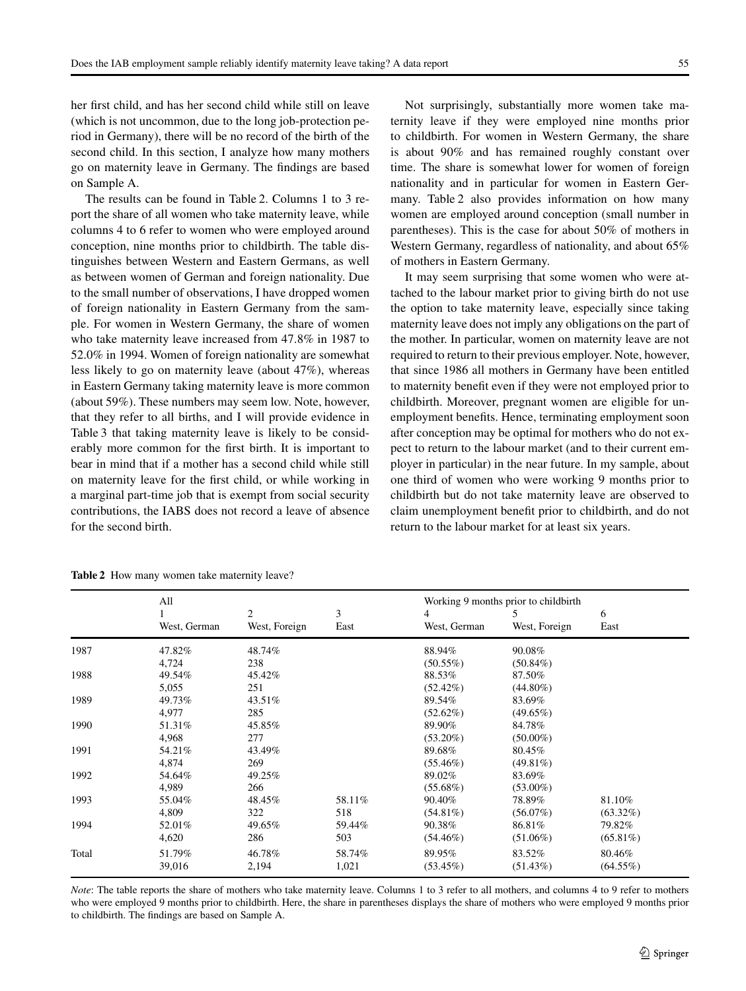her first child, and has her second child while still on leave (which is not uncommon, due to the long job-protection period in Germany), there will be no record of the birth of the second child. In this section, I analyze how many mothers go on maternity leave in Germany. The findings are based on Sample A.

The results can be found in Table 2. Columns 1 to 3 report the share of all women who take maternity leave, while columns 4 to 6 refer to women who were employed around conception, nine months prior to childbirth. The table distinguishes between Western and Eastern Germans, as well as between women of German and foreign nationality. Due to the small number of observations, I have dropped women of foreign nationality in Eastern Germany from the sample. For women in Western Germany, the share of women who take maternity leave increased from 47.8% in 1987 to 52.0% in 1994. Women of foreign nationality are somewhat less likely to go on maternity leave (about 47%), whereas in Eastern Germany taking maternity leave is more common (about 59%). These numbers may seem low. Note, however, that they refer to all births, and I will provide evidence in Table 3 that taking maternity leave is likely to be considerably more common for the first birth. It is important to bear in mind that if a mother has a second child while still on maternity leave for the first child, or while working in a marginal part-time job that is exempt from social security contributions, the IABS does not record a leave of absence for the second birth.

Not surprisingly, substantially more women take maternity leave if they were employed nine months prior to childbirth. For women in Western Germany, the share is about 90% and has remained roughly constant over time. The share is somewhat lower for women of foreign nationality and in particular for women in Eastern Germany. Table 2 also provides information on how many women are employed around conception (small number in parentheses). This is the case for about 50% of mothers in Western Germany, regardless of nationality, and about 65% of mothers in Eastern Germany.

It may seem surprising that some women who were attached to the labour market prior to giving birth do not use the option to take maternity leave, especially since taking maternity leave does not imply any obligations on the part of the mother. In particular, women on maternity leave are not required to return to their previous employer. Note, however, that since 1986 all mothers in Germany have been entitled to maternity benefit even if they were not employed prior to childbirth. Moreover, pregnant women are eligible for unemployment benefits. Hence, terminating employment soon after conception may be optimal for mothers who do not expect to return to the labour market (and to their current employer in particular) in the near future. In my sample, about one third of women who were working 9 months prior to childbirth but do not take maternity leave are observed to claim unemployment benefit prior to childbirth, and do not return to the labour market for at least six years.

|       | All          |               |        | Working 9 months prior to childbirth |               |             |  |
|-------|--------------|---------------|--------|--------------------------------------|---------------|-------------|--|
|       |              | 2             | 3      | 4                                    |               | 6           |  |
|       | West, German | West, Foreign | East   | West, German                         | West, Foreign | East        |  |
| 1987  | 47.82%       | 48.74%        |        | 88.94%                               | 90.08%        |             |  |
|       | 4,724        | 238           |        | $(50.55\%)$                          | $(50.84\%)$   |             |  |
| 1988  | 49.54%       | 45.42%        |        | 88.53%                               | 87.50%        |             |  |
|       | 5,055        | 251           |        | $(52.42\%)$                          | $(44.80\%)$   |             |  |
| 1989  | 49.73%       | 43.51%        |        | 89.54%                               | 83.69%        |             |  |
|       | 4,977        | 285           |        | $(52.62\%)$                          | $(49.65\%)$   |             |  |
| 1990  | 51.31%       | 45.85%        |        | 89.90%                               | 84.78%        |             |  |
|       | 4,968        | 277           |        | $(53.20\%)$                          | $(50.00\%)$   |             |  |
| 1991  | 54.21%       | 43.49%        |        | 89.68%                               | 80.45%        |             |  |
|       | 4,874        | 269           |        | $(55.46\%)$                          | $(49.81\%)$   |             |  |
| 1992  | 54.64%       | 49.25%        |        | 89.02%                               | 83.69%        |             |  |
|       | 4,989        | 266           |        | $(55.68\%)$                          | $(53.00\%)$   |             |  |
| 1993  | 55.04%       | 48.45%        | 58.11% | 90.40%                               | 78.89%        | 81.10%      |  |
|       | 4,809        | 322           | 518    | $(54.81\%)$                          | $(56.07\%)$   | $(63.32\%)$ |  |
| 1994  | 52.01%       | 49.65%        | 59.44% | 90.38%                               | 86.81%        | 79.82%      |  |
|       | 4,620        | 286           | 503    | $(54.46\%)$                          | $(51.06\%)$   | $(65.81\%)$ |  |
| Total | 51.79%       | 46.78%        | 58.74% | 89.95%                               | 83.52%        | 80.46%      |  |
|       | 39,016       | 2,194         | 1,021  | $(53.45\%)$                          | $(51.43\%)$   | $(64.55\%)$ |  |
|       |              |               |        |                                      |               |             |  |

**Table 2** How many women take maternity leave?

*Note*: The table reports the share of mothers who take maternity leave. Columns 1 to 3 refer to all mothers, and columns 4 to 9 refer to mothers who were employed 9 months prior to childbirth. Here, the share in parentheses displays the share of mothers who were employed 9 months prior to childbirth. The findings are based on Sample A.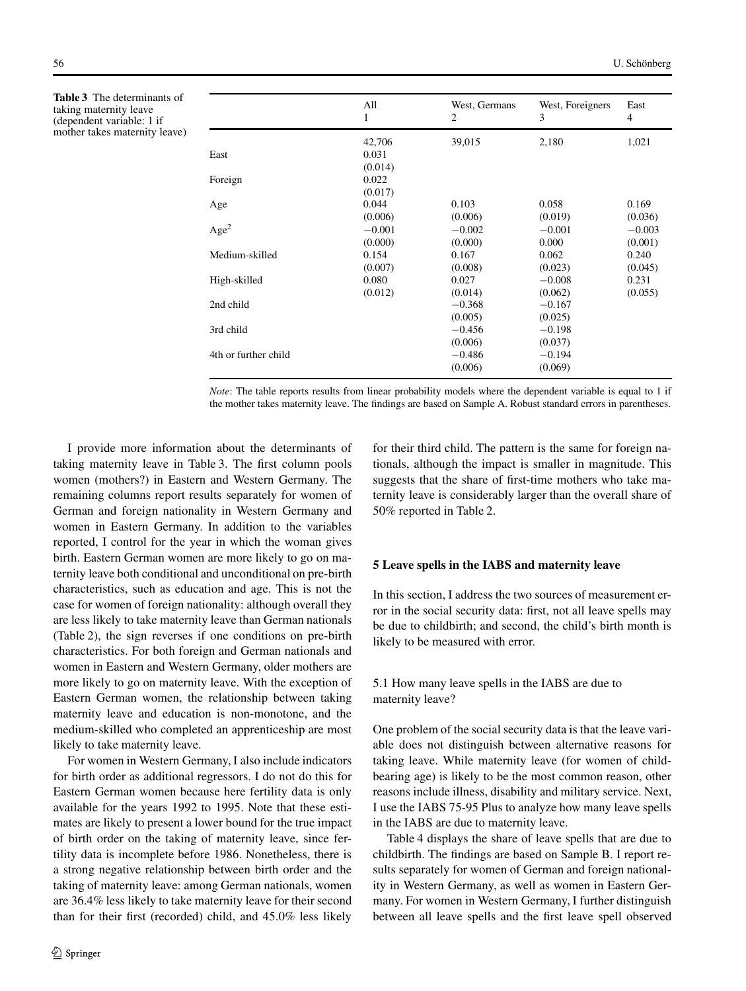**Table 3** The determinants of taking maternity leave (dependent variable: 1 if mother takes maternity leave)

|                      | All<br>1 | West, Germans<br>2 | West, Foreigners<br>3 | East<br>4 |
|----------------------|----------|--------------------|-----------------------|-----------|
|                      | 42,706   | 39,015             | 2,180                 | 1,021     |
| East                 | 0.031    |                    |                       |           |
|                      | (0.014)  |                    |                       |           |
| Foreign              | 0.022    |                    |                       |           |
|                      | (0.017)  |                    |                       |           |
| Age                  | 0.044    | 0.103              | 0.058                 | 0.169     |
|                      | (0.006)  | (0.006)            | (0.019)               | (0.036)   |
| Age <sup>2</sup>     | $-0.001$ | $-0.002$           | $-0.001$              | $-0.003$  |
|                      | (0.000)  | (0.000)            | 0.000                 | (0.001)   |
| Medium-skilled       | 0.154    | 0.167              | 0.062                 | 0.240     |
|                      | (0.007)  | (0.008)            | (0.023)               | (0.045)   |
| High-skilled         | 0.080    | 0.027              | $-0.008$              | 0.231     |
|                      | (0.012)  | (0.014)            | (0.062)               | (0.055)   |
| 2nd child            |          | $-0.368$           | $-0.167$              |           |
|                      |          | (0.005)            | (0.025)               |           |
| 3rd child            |          | $-0.456$           | $-0.198$              |           |
|                      |          | (0.006)            | (0.037)               |           |
| 4th or further child |          | $-0.486$           | $-0.194$              |           |
|                      |          | (0.006)            | (0.069)               |           |

*Note*: The table reports results from linear probability models where the dependent variable is equal to 1 if the mother takes maternity leave. The findings are based on Sample A. Robust standard errors in parentheses.

I provide more information about the determinants of taking maternity leave in Table 3. The first column pools women (mothers?) in Eastern and Western Germany. The remaining columns report results separately for women of German and foreign nationality in Western Germany and women in Eastern Germany. In addition to the variables reported, I control for the year in which the woman gives birth. Eastern German women are more likely to go on maternity leave both conditional and unconditional on pre-birth characteristics, such as education and age. This is not the case for women of foreign nationality: although overall they are less likely to take maternity leave than German nationals (Table 2), the sign reverses if one conditions on pre-birth characteristics. For both foreign and German nationals and women in Eastern and Western Germany, older mothers are more likely to go on maternity leave. With the exception of Eastern German women, the relationship between taking maternity leave and education is non-monotone, and the medium-skilled who completed an apprenticeship are most likely to take maternity leave.

For women in Western Germany, I also include indicators for birth order as additional regressors. I do not do this for Eastern German women because here fertility data is only available for the years 1992 to 1995. Note that these estimates are likely to present a lower bound for the true impact of birth order on the taking of maternity leave, since fertility data is incomplete before 1986. Nonetheless, there is a strong negative relationship between birth order and the taking of maternity leave: among German nationals, women are 36.4% less likely to take maternity leave for their second than for their first (recorded) child, and 45.0% less likely for their third child. The pattern is the same for foreign nationals, although the impact is smaller in magnitude. This suggests that the share of first-time mothers who take maternity leave is considerably larger than the overall share of 50% reported in Table 2.

#### **5 Leave spells in the IABS and maternity leave**

In this section, I address the two sources of measurement error in the social security data: first, not all leave spells may be due to childbirth; and second, the child's birth month is likely to be measured with error.

# 5.1 How many leave spells in the IABS are due to maternity leave?

One problem of the social security data is that the leave variable does not distinguish between alternative reasons for taking leave. While maternity leave (for women of childbearing age) is likely to be the most common reason, other reasons include illness, disability and military service. Next, I use the IABS 75-95 Plus to analyze how many leave spells in the IABS are due to maternity leave.

Table 4 displays the share of leave spells that are due to childbirth. The findings are based on Sample B. I report results separately for women of German and foreign nationality in Western Germany, as well as women in Eastern Germany. For women in Western Germany, I further distinguish between all leave spells and the first leave spell observed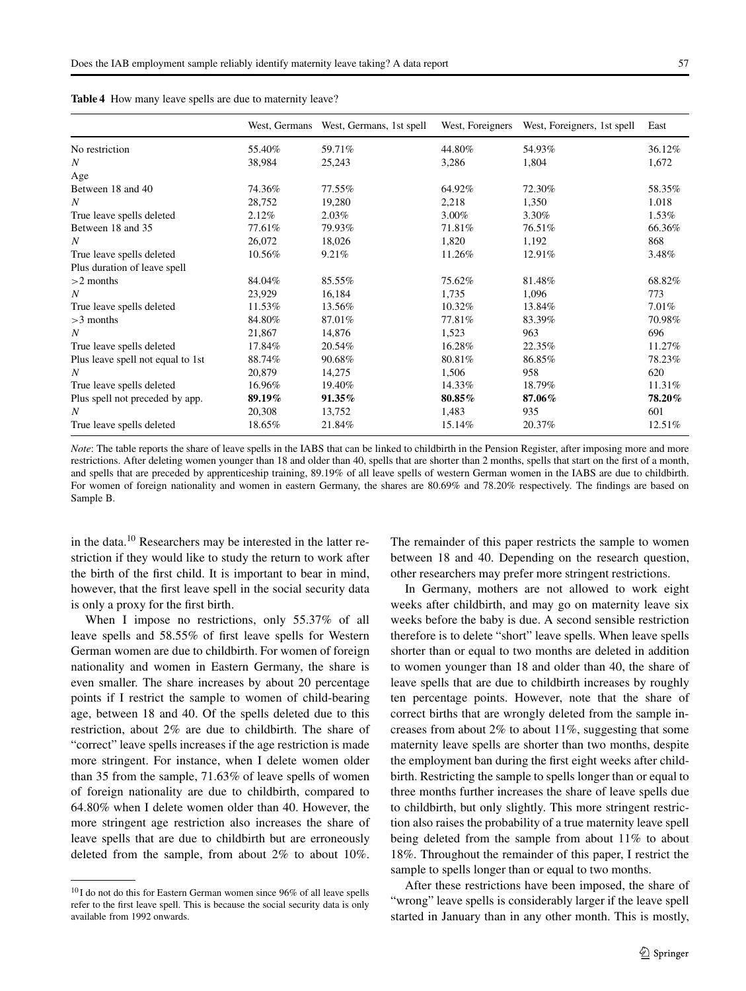|                                   | West, Germans | West, Germans, 1st spell | West, Foreigners | West, Foreigners, 1st spell | East    |
|-----------------------------------|---------------|--------------------------|------------------|-----------------------------|---------|
| No restriction                    | 55.40%        | 59.71%                   | 44.80%           | 54.93%                      | 36.12%  |
| $\boldsymbol{N}$                  | 38,984        | 25,243                   | 3,286            | 1,804                       | 1,672   |
| Age                               |               |                          |                  |                             |         |
| Between 18 and 40                 | 74.36%        | 77.55%                   | 64.92%           | 72.30%                      | 58.35%  |
| $\boldsymbol{N}$                  | 28,752        | 19,280                   | 2,218            | 1,350                       | 1.018   |
| True leave spells deleted         | 2.12%         | $2.03\%$                 | $3.00\%$         | 3.30%                       | 1.53%   |
| Between 18 and 35                 | 77.61%        | 79.93%                   | 71.81%           | 76.51%                      | 66.36%  |
| N                                 | 26,072        | 18,026                   | 1,820            | 1,192                       | 868     |
| True leave spells deleted         | 10.56%        | 9.21%                    | 11.26%           | 12.91%                      | 3.48%   |
| Plus duration of leave spell      |               |                          |                  |                             |         |
| $>2$ months                       | 84.04%        | 85.55%                   | 75.62%           | 81.48%                      | 68.82%  |
| N                                 | 23,929        | 16,184                   | 1,735            | 1,096                       | 773     |
| True leave spells deleted         | 11.53%        | 13.56%                   | 10.32%           | 13.84%                      | 7.01%   |
| $>3$ months                       | 84.80%        | 87.01%                   | 77.81%           | 83.39%                      | 70.98%  |
| $\boldsymbol{N}$                  | 21,867        | 14,876                   | 1,523            | 963                         | 696     |
| True leave spells deleted         | 17.84%        | 20.54%                   | 16.28%           | 22.35%                      | 11.27%  |
| Plus leave spell not equal to 1st | 88.74%        | 90.68%                   | 80.81%           | 86.85%                      | 78.23%  |
| N                                 | 20,879        | 14,275                   | 1,506            | 958                         | 620     |
| True leave spells deleted         | 16.96%        | 19.40%                   | 14.33%           | 18.79%                      | 11.31\% |
| Plus spell not preceded by app.   | 89.19%        | 91.35%                   | 80.85%           | 87.06%                      | 78.20%  |
| N                                 | 20,308        | 13,752                   | 1,483            | 935                         | 601     |
| True leave spells deleted         | 18.65%        | 21.84%                   | 15.14%           | 20.37%                      | 12.51%  |

**Table 4** How many leave spells are due to maternity leave?

*Note*: The table reports the share of leave spells in the IABS that can be linked to childbirth in the Pension Register, after imposing more and more restrictions. After deleting women younger than 18 and older than 40, spells that are shorter than 2 months, spells that start on the first of a month, and spells that are preceded by apprenticeship training, 89.19% of all leave spells of western German women in the IABS are due to childbirth. For women of foreign nationality and women in eastern Germany, the shares are 80.69% and 78.20% respectively. The findings are based on Sample B.

in the data.<sup>10</sup> Researchers may be interested in the latter restriction if they would like to study the return to work after the birth of the first child. It is important to bear in mind, however, that the first leave spell in the social security data is only a proxy for the first birth.

When I impose no restrictions, only 55.37% of all leave spells and 58.55% of first leave spells for Western German women are due to childbirth. For women of foreign nationality and women in Eastern Germany, the share is even smaller. The share increases by about 20 percentage points if I restrict the sample to women of child-bearing age, between 18 and 40. Of the spells deleted due to this restriction, about 2% are due to childbirth. The share of "correct" leave spells increases if the age restriction is made more stringent. For instance, when I delete women older than 35 from the sample, 71.63% of leave spells of women of foreign nationality are due to childbirth, compared to 64.80% when I delete women older than 40. However, the more stringent age restriction also increases the share of leave spells that are due to childbirth but are erroneously deleted from the sample, from about 2% to about 10%.

The remainder of this paper restricts the sample to women between 18 and 40. Depending on the research question, other researchers may prefer more stringent restrictions.

In Germany, mothers are not allowed to work eight weeks after childbirth, and may go on maternity leave six weeks before the baby is due. A second sensible restriction therefore is to delete "short" leave spells. When leave spells shorter than or equal to two months are deleted in addition to women younger than 18 and older than 40, the share of leave spells that are due to childbirth increases by roughly ten percentage points. However, note that the share of correct births that are wrongly deleted from the sample increases from about 2% to about 11%, suggesting that some maternity leave spells are shorter than two months, despite the employment ban during the first eight weeks after childbirth. Restricting the sample to spells longer than or equal to three months further increases the share of leave spells due to childbirth, but only slightly. This more stringent restriction also raises the probability of a true maternity leave spell being deleted from the sample from about 11% to about 18%. Throughout the remainder of this paper, I restrict the sample to spells longer than or equal to two months.

After these restrictions have been imposed, the share of "wrong" leave spells is considerably larger if the leave spell started in January than in any other month. This is mostly,

 $10$  I do not do this for Eastern German women since 96% of all leave spells refer to the first leave spell. This is because the social security data is only available from 1992 onwards.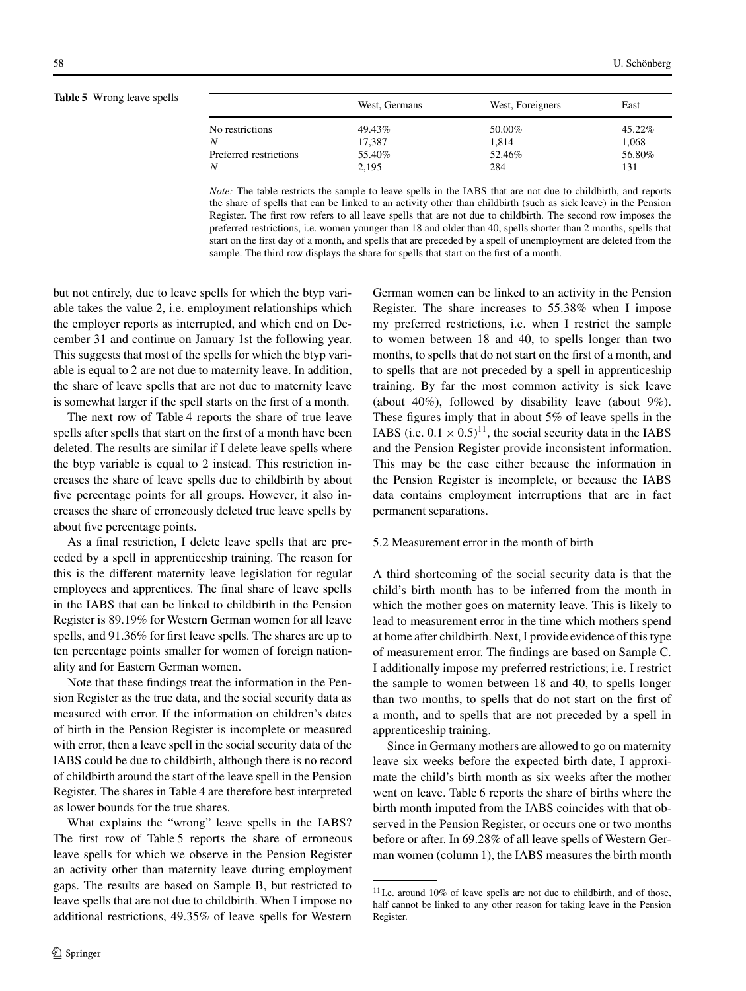#### **Table 5** Wrong leave spells

|                        | West, Germans | West, Foreigners | East      |
|------------------------|---------------|------------------|-----------|
| No restrictions        | 49.43%        | 50.00%           | $45.22\%$ |
| N                      | 17,387        | 1,814            | 1,068     |
| Preferred restrictions | 55.40%        | 52.46%           | 56.80%    |
| N                      | 2,195         | 284              | 131       |

*Note:* The table restricts the sample to leave spells in the IABS that are not due to childbirth, and reports the share of spells that can be linked to an activity other than childbirth (such as sick leave) in the Pension Register. The first row refers to all leave spells that are not due to childbirth. The second row imposes the preferred restrictions, i.e. women younger than 18 and older than 40, spells shorter than 2 months, spells that start on the first day of a month, and spells that are preceded by a spell of unemployment are deleted from the sample. The third row displays the share for spells that start on the first of a month.

but not entirely, due to leave spells for which the btyp variable takes the value 2, i.e. employment relationships which the employer reports as interrupted, and which end on December 31 and continue on January 1st the following year. This suggests that most of the spells for which the btyp variable is equal to 2 are not due to maternity leave. In addition, the share of leave spells that are not due to maternity leave is somewhat larger if the spell starts on the first of a month.

The next row of Table 4 reports the share of true leave spells after spells that start on the first of a month have been deleted. The results are similar if I delete leave spells where the btyp variable is equal to 2 instead. This restriction increases the share of leave spells due to childbirth by about five percentage points for all groups. However, it also increases the share of erroneously deleted true leave spells by about five percentage points.

As a final restriction, I delete leave spells that are preceded by a spell in apprenticeship training. The reason for this is the different maternity leave legislation for regular employees and apprentices. The final share of leave spells in the IABS that can be linked to childbirth in the Pension Register is 89.19% for Western German women for all leave spells, and 91.36% for first leave spells. The shares are up to ten percentage points smaller for women of foreign nationality and for Eastern German women.

Note that these findings treat the information in the Pension Register as the true data, and the social security data as measured with error. If the information on children's dates of birth in the Pension Register is incomplete or measured with error, then a leave spell in the social security data of the IABS could be due to childbirth, although there is no record of childbirth around the start of the leave spell in the Pension Register. The shares in Table 4 are therefore best interpreted as lower bounds for the true shares.

What explains the "wrong" leave spells in the IABS? The first row of Table 5 reports the share of erroneous leave spells for which we observe in the Pension Register an activity other than maternity leave during employment gaps. The results are based on Sample B, but restricted to leave spells that are not due to childbirth. When I impose no additional restrictions, 49.35% of leave spells for Western German women can be linked to an activity in the Pension Register. The share increases to 55.38% when I impose my preferred restrictions, i.e. when I restrict the sample to women between 18 and 40, to spells longer than two months, to spells that do not start on the first of a month, and to spells that are not preceded by a spell in apprenticeship training. By far the most common activity is sick leave (about 40%), followed by disability leave (about 9%). These figures imply that in about 5% of leave spells in the IABS (i.e.  $0.1 \times 0.5$ )<sup>11</sup>, the social security data in the IABS and the Pension Register provide inconsistent information. This may be the case either because the information in the Pension Register is incomplete, or because the IABS data contains employment interruptions that are in fact permanent separations.

## 5.2 Measurement error in the month of birth

A third shortcoming of the social security data is that the child's birth month has to be inferred from the month in which the mother goes on maternity leave. This is likely to lead to measurement error in the time which mothers spend at home after childbirth. Next, I provide evidence of this type of measurement error. The findings are based on Sample C. I additionally impose my preferred restrictions; i.e. I restrict the sample to women between 18 and 40, to spells longer than two months, to spells that do not start on the first of a month, and to spells that are not preceded by a spell in apprenticeship training.

Since in Germany mothers are allowed to go on maternity leave six weeks before the expected birth date, I approximate the child's birth month as six weeks after the mother went on leave. Table 6 reports the share of births where the birth month imputed from the IABS coincides with that observed in the Pension Register, or occurs one or two months before or after. In 69.28% of all leave spells of Western German women (column 1), the IABS measures the birth month

 $11$  I.e. around 10% of leave spells are not due to childbirth, and of those, half cannot be linked to any other reason for taking leave in the Pension Register.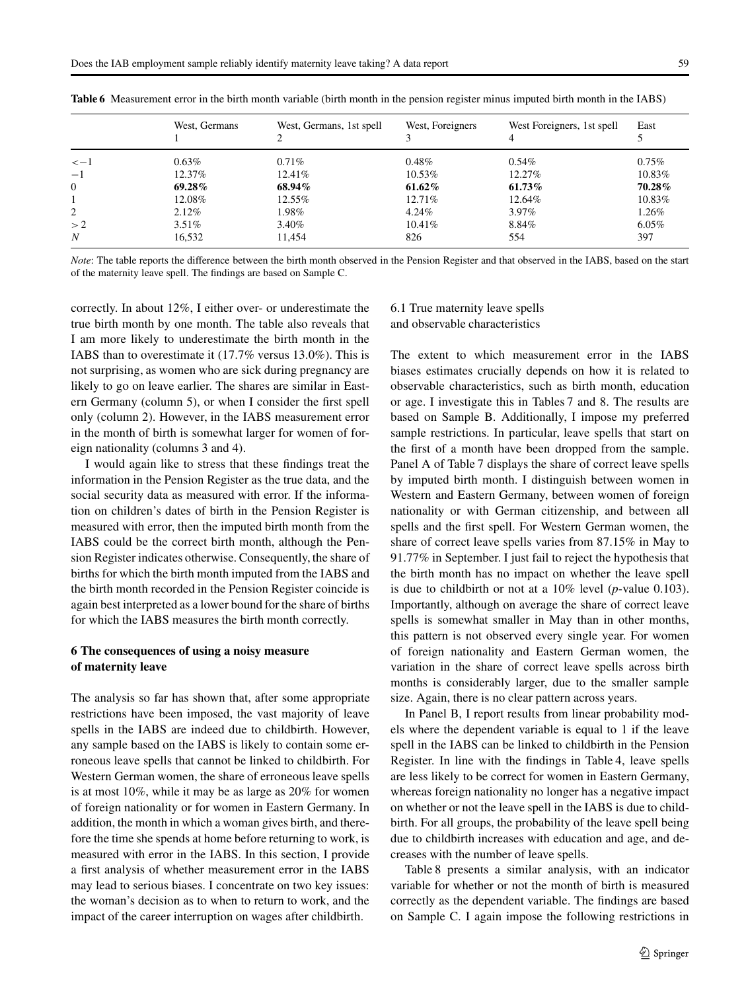|              | West, Germans | West, Germans, 1st spell | West, Foreigners | West Foreigners, 1st spell | East     |
|--------------|---------------|--------------------------|------------------|----------------------------|----------|
| $\leftarrow$ | $0.63\%$      | $0.71\%$                 | $0.48\%$         | $0.54\%$                   | $0.75\%$ |
| $-1$         | 12.37%        | $12.41\%$                | 10.53%           | 12.27%                     | 10.83%   |
| $\mathbf{0}$ | 69.28%        | 68.94%                   | 61.62%           | 61.73%                     | 70.28%   |
| $\mathbf{I}$ | 12.08%        | 12.55%                   | 12.71%           | 12.64%                     | 10.83%   |
| 2            | $2.12\%$      | 1.98%                    | $4.24\%$         | $3.97\%$                   | $1.26\%$ |
| >2           | $3.51\%$      | 3.40%                    | $10.41\%$        | 8.84%                      | $6.05\%$ |
| N            | 16,532        | 11,454                   | 826              | 554                        | 397      |

**Table 6** Measurement error in the birth month variable (birth month in the pension register minus imputed birth month in the IABS)

*Note*: The table reports the difference between the birth month observed in the Pension Register and that observed in the IABS, based on the start of the maternity leave spell. The findings are based on Sample C.

correctly. In about 12%, I either over- or underestimate the true birth month by one month. The table also reveals that I am more likely to underestimate the birth month in the IABS than to overestimate it (17.7% versus 13.0%). This is not surprising, as women who are sick during pregnancy are likely to go on leave earlier. The shares are similar in Eastern Germany (column 5), or when I consider the first spell only (column 2). However, in the IABS measurement error in the month of birth is somewhat larger for women of foreign nationality (columns 3 and 4).

I would again like to stress that these findings treat the information in the Pension Register as the true data, and the social security data as measured with error. If the information on children's dates of birth in the Pension Register is measured with error, then the imputed birth month from the IABS could be the correct birth month, although the Pension Register indicates otherwise. Consequently, the share of births for which the birth month imputed from the IABS and the birth month recorded in the Pension Register coincide is again best interpreted as a lower bound for the share of births for which the IABS measures the birth month correctly.

# **6 The consequences of using a noisy measure of maternity leave**

The analysis so far has shown that, after some appropriate restrictions have been imposed, the vast majority of leave spells in the IABS are indeed due to childbirth. However, any sample based on the IABS is likely to contain some erroneous leave spells that cannot be linked to childbirth. For Western German women, the share of erroneous leave spells is at most 10%, while it may be as large as 20% for women of foreign nationality or for women in Eastern Germany. In addition, the month in which a woman gives birth, and therefore the time she spends at home before returning to work, is measured with error in the IABS. In this section, I provide a first analysis of whether measurement error in the IABS may lead to serious biases. I concentrate on two key issues: the woman's decision as to when to return to work, and the impact of the career interruption on wages after childbirth.

# 6.1 True maternity leave spells and observable characteristics

The extent to which measurement error in the IABS biases estimates crucially depends on how it is related to observable characteristics, such as birth month, education or age. I investigate this in Tables 7 and 8. The results are based on Sample B. Additionally, I impose my preferred sample restrictions. In particular, leave spells that start on the first of a month have been dropped from the sample. Panel A of Table 7 displays the share of correct leave spells by imputed birth month. I distinguish between women in Western and Eastern Germany, between women of foreign nationality or with German citizenship, and between all spells and the first spell. For Western German women, the share of correct leave spells varies from 87.15% in May to 91.77% in September. I just fail to reject the hypothesis that the birth month has no impact on whether the leave spell is due to childbirth or not at a 10% level (*p*-value 0.103). Importantly, although on average the share of correct leave spells is somewhat smaller in May than in other months, this pattern is not observed every single year. For women of foreign nationality and Eastern German women, the variation in the share of correct leave spells across birth months is considerably larger, due to the smaller sample size. Again, there is no clear pattern across years.

In Panel B, I report results from linear probability models where the dependent variable is equal to 1 if the leave spell in the IABS can be linked to childbirth in the Pension Register. In line with the findings in Table 4, leave spells are less likely to be correct for women in Eastern Germany, whereas foreign nationality no longer has a negative impact on whether or not the leave spell in the IABS is due to childbirth. For all groups, the probability of the leave spell being due to childbirth increases with education and age, and decreases with the number of leave spells.

Table 8 presents a similar analysis, with an indicator variable for whether or not the month of birth is measured correctly as the dependent variable. The findings are based on Sample C. I again impose the following restrictions in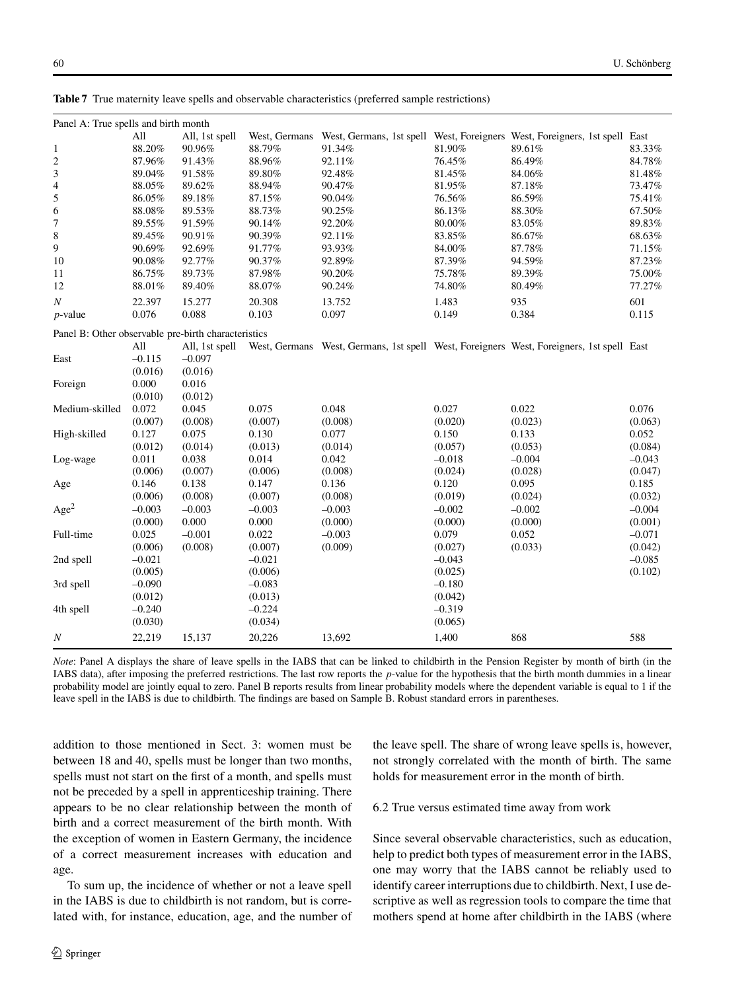| Panel A: True spells and birth month                |          |                |               |          |          |                                                                                          |           |
|-----------------------------------------------------|----------|----------------|---------------|----------|----------|------------------------------------------------------------------------------------------|-----------|
|                                                     | All      | All, 1st spell | West, Germans |          |          | West, Germans, 1st spell West, Foreigners West, Foreigners, 1st spell East               |           |
| $\mathbf{1}$                                        | 88.20%   | 90.96%         | 88.79%        | 91.34%   | 81.90%   | 89.61%                                                                                   | 83.33%    |
| $\boldsymbol{2}$                                    | 87.96%   | 91.43%         | 88.96%        | 92.11%   | 76.45%   | 86.49%                                                                                   | 84.78%    |
| 3                                                   | 89.04%   | 91.58%         | 89.80%        | 92.48%   | 81.45%   | 84.06%                                                                                   | 81.48%    |
| 4                                                   | 88.05%   | 89.62%         | 88.94%        | 90.47%   | 81.95%   | 87.18%                                                                                   | 73.47%    |
| 5                                                   | 86.05%   | 89.18%         | 87.15%        | 90.04%   | 76.56%   | 86.59%                                                                                   | 75.41%    |
| 6                                                   | 88.08%   | 89.53%         | 88.73%        | 90.25%   | 86.13%   | 88.30%                                                                                   | 67.50%    |
| $\overline{7}$                                      | 89.55%   | 91.59%         | 90.14%        | 92.20%   | 80.00%   | 83.05%                                                                                   | 89.83%    |
| 8                                                   | 89.45%   | 90.91%         | 90.39%        | 92.11%   | 83.85%   | 86.67%                                                                                   | 68.63%    |
| 9                                                   | 90.69%   | 92.69%         | 91.77%        | 93.93%   | 84.00%   | 87.78%                                                                                   | $71.15\%$ |
| 10                                                  | 90.08%   | 92.77%         | 90.37%        | 92.89%   | 87.39%   | 94.59%                                                                                   | 87.23%    |
| 11                                                  | 86.75%   | 89.73%         | 87.98%        | 90.20%   | 75.78%   | 89.39%                                                                                   | 75.00%    |
| 12                                                  | 88.01%   | 89.40%         | 88.07%        | 90.24%   | 74.80%   | 80.49%                                                                                   | 77.27%    |
| $\cal N$                                            | 22.397   | 15.277         | 20.308        | 13.752   | 1.483    | 935                                                                                      | 601       |
| $p$ -value                                          | 0.076    | 0.088          | 0.103         | 0.097    | 0.149    | 0.384                                                                                    | 0.115     |
| Panel B: Other observable pre-birth characteristics |          |                |               |          |          |                                                                                          |           |
|                                                     | All      | All, 1st spell |               |          |          | West, Germans West, Germans, 1st spell West, Foreigners West, Foreigners, 1st spell East |           |
| East                                                | $-0.115$ | $-0.097$       |               |          |          |                                                                                          |           |
|                                                     | (0.016)  | (0.016)        |               |          |          |                                                                                          |           |
| Foreign                                             | 0.000    | 0.016          |               |          |          |                                                                                          |           |
|                                                     | (0.010)  | (0.012)        |               |          |          |                                                                                          |           |
| Medium-skilled                                      | 0.072    | 0.045          | 0.075         | 0.048    | 0.027    | 0.022                                                                                    | 0.076     |
|                                                     | (0.007)  | (0.008)        | (0.007)       | (0.008)  | (0.020)  | (0.023)                                                                                  | (0.063)   |
| High-skilled                                        | 0.127    | 0.075          | 0.130         | 0.077    | 0.150    | 0.133                                                                                    | 0.052     |
|                                                     | (0.012)  | (0.014)        | (0.013)       | (0.014)  | (0.057)  | (0.053)                                                                                  | (0.084)   |
| Log-wage                                            | 0.011    | 0.038          | 0.014         | 0.042    | $-0.018$ | $-0.004$                                                                                 | $-0.043$  |
|                                                     | (0.006)  | (0.007)        | (0.006)       | (0.008)  | (0.024)  | (0.028)                                                                                  | (0.047)   |
| Age                                                 | 0.146    | 0.138          | 0.147         | 0.136    | 0.120    | 0.095                                                                                    | 0.185     |
|                                                     | (0.006)  | (0.008)        | (0.007)       | (0.008)  | (0.019)  | (0.024)                                                                                  | (0.032)   |
| Age <sup>2</sup>                                    | $-0.003$ | $-0.003$       | $-0.003$      | $-0.003$ | $-0.002$ | $-0.002$                                                                                 | $-0.004$  |
|                                                     | (0.000)  | 0.000          | 0.000         | (0.000)  | (0.000)  | (0.000)                                                                                  | (0.001)   |
| Full-time                                           | 0.025    | $-0.001$       | 0.022         | $-0.003$ | 0.079    | 0.052                                                                                    | $-0.071$  |
|                                                     | (0.006)  | (0.008)        | (0.007)       | (0.009)  | (0.027)  | (0.033)                                                                                  | (0.042)   |
| 2nd spell                                           | $-0.021$ |                | $-0.021$      |          | $-0.043$ |                                                                                          | $-0.085$  |
|                                                     | (0.005)  |                | (0.006)       |          | (0.025)  |                                                                                          | (0.102)   |
| 3rd spell                                           | $-0.090$ |                | $-0.083$      |          | $-0.180$ |                                                                                          |           |
|                                                     | (0.012)  |                | (0.013)       |          | (0.042)  |                                                                                          |           |
| 4th spell                                           | $-0.240$ |                | $-0.224$      |          | $-0.319$ |                                                                                          |           |
|                                                     | (0.030)  |                | (0.034)       |          | (0.065)  |                                                                                          |           |
| $\boldsymbol{N}$                                    | 22,219   | 15,137         | 20,226        | 13,692   | 1,400    | 868                                                                                      | 588       |

**Table 7** True maternity leave spells and observable characteristics (preferred sample restrictions)

*Note*: Panel A displays the share of leave spells in the IABS that can be linked to childbirth in the Pension Register by month of birth (in the IABS data), after imposing the preferred restrictions. The last row reports the *p*-value for the hypothesis that the birth month dummies in a linear probability model are jointly equal to zero. Panel B reports results from linear probability models where the dependent variable is equal to 1 if the leave spell in the IABS is due to childbirth. The findings are based on Sample B. Robust standard errors in parentheses.

addition to those mentioned in Sect. 3: women must be between 18 and 40, spells must be longer than two months, spells must not start on the first of a month, and spells must not be preceded by a spell in apprenticeship training. There appears to be no clear relationship between the month of birth and a correct measurement of the birth month. With the exception of women in Eastern Germany, the incidence of a correct measurement increases with education and age.

To sum up, the incidence of whether or not a leave spell in the IABS is due to childbirth is not random, but is correlated with, for instance, education, age, and the number of

 $\textcircled{2}$  Springer

the leave spell. The share of wrong leave spells is, however, not strongly correlated with the month of birth. The same holds for measurement error in the month of birth.

6.2 True versus estimated time away from work

Since several observable characteristics, such as education, help to predict both types of measurement error in the IABS, one may worry that the IABS cannot be reliably used to identify career interruptions due to childbirth. Next, I use descriptive as well as regression tools to compare the time that mothers spend at home after childbirth in the IABS (where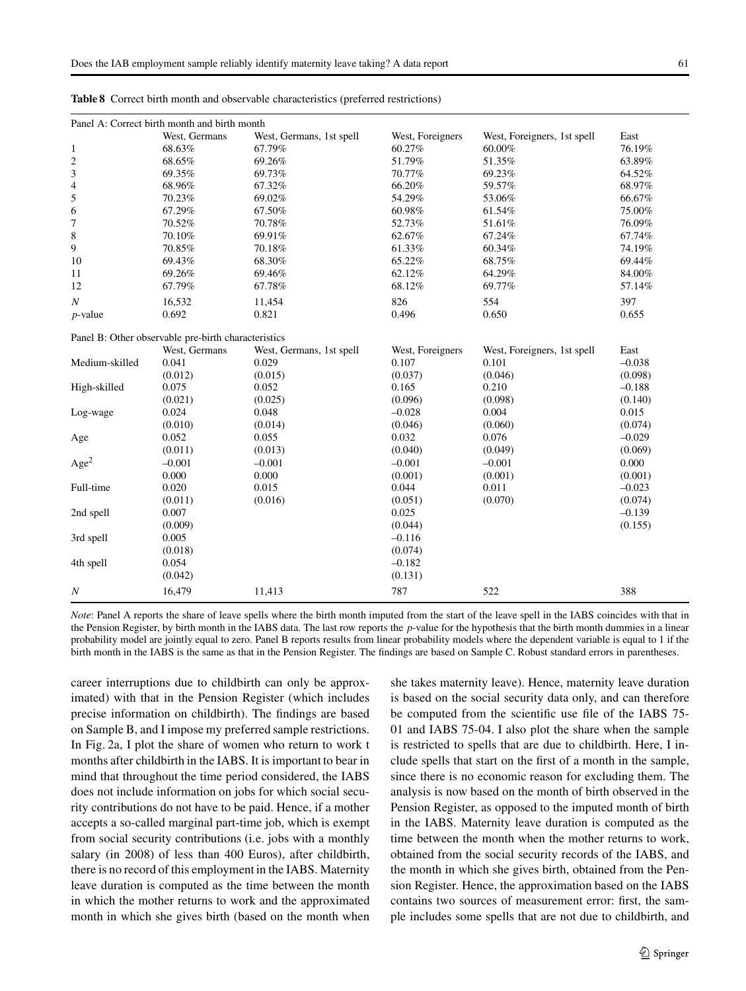|                         | Panel A: Correct birth month and birth month        |                          |                  |                             |          |
|-------------------------|-----------------------------------------------------|--------------------------|------------------|-----------------------------|----------|
|                         | West, Germans                                       | West, Germans, 1st spell | West, Foreigners | West, Foreigners, 1st spell | East     |
| $\mathbf{1}$            | 68.63%                                              | 67.79%                   | 60.27%           | 60.00%                      | 76.19%   |
| $\overline{\mathbf{c}}$ | 68.65%                                              | 69.26%                   | 51.79%           | 51.35%                      | 63.89%   |
| 3                       | 69.35%                                              | 69.73%                   | 70.77%           | 69.23%                      | 64.52%   |
| 4                       | 68.96%                                              | 67.32%                   | 66.20%           | 59.57%                      | 68.97%   |
| 5                       | 70.23%                                              | 69.02%                   | 54.29%           | 53.06%                      | 66.67%   |
| 6                       | 67.29%                                              | 67.50%                   | 60.98%           | 61.54%                      | 75.00%   |
| 7                       | 70.52%                                              | 70.78%                   | 52.73%           | 51.61%                      | 76.09%   |
| 8                       | 70.10%                                              | 69.91%                   | 62.67%           | 67.24%                      | 67.74%   |
| 9                       | 70.85%                                              | 70.18%                   | 61.33%           | 60.34%                      | 74.19%   |
| 10                      | 69.43%                                              | 68.30%                   | 65.22%           | 68.75%                      | 69.44%   |
| 11                      | 69.26%                                              | 69.46%                   | 62.12%           | 64.29%                      | 84.00%   |
| 12                      | 67.79%                                              | 67.78%                   | 68.12%           | 69.77%                      | 57.14%   |
| $\boldsymbol{N}$        | 16,532                                              | 11,454                   | 826              | 554                         | 397      |
| $p$ -value              | 0.692                                               | 0.821                    | 0.496            | 0.650                       | 0.655    |
|                         | Panel B: Other observable pre-birth characteristics |                          |                  |                             |          |
|                         | West, Germans                                       | West, Germans, 1st spell | West, Foreigners | West, Foreigners, 1st spell | East     |
| Medium-skilled          | 0.041                                               | 0.029                    | 0.107            | 0.101                       | $-0.038$ |
|                         | (0.012)                                             | (0.015)                  | (0.037)          | (0.046)                     | (0.098)  |
| High-skilled            | 0.075                                               | 0.052                    | 0.165            | 0.210                       | $-0.188$ |
|                         | (0.021)                                             | (0.025)                  | (0.096)          | (0.098)                     | (0.140)  |
| Log-wage                | 0.024                                               | 0.048                    | $-0.028$         | 0.004                       | 0.015    |
|                         | (0.010)                                             | (0.014)                  | (0.046)          | (0.060)                     | (0.074)  |
| Age                     | 0.052                                               | 0.055                    | 0.032            | 0.076                       | $-0.029$ |
|                         | (0.011)                                             | (0.013)                  | (0.040)          | (0.049)                     | (0.069)  |
| Age <sup>2</sup>        | $-0.001$                                            | $-0.001$                 | $-0.001$         | $-0.001$                    | 0.000    |
|                         | 0.000                                               | 0.000                    | (0.001)          | (0.001)                     | (0.001)  |
| Full-time               | 0.020                                               | 0.015                    | 0.044            | 0.011                       | $-0.023$ |
|                         | (0.011)                                             | (0.016)                  | (0.051)          | (0.070)                     | (0.074)  |
| 2nd spell               | 0.007                                               |                          | 0.025            |                             | $-0.139$ |
|                         | (0.009)                                             |                          | (0.044)          |                             | (0.155)  |
| 3rd spell               | 0.005                                               |                          | $-0.116$         |                             |          |
|                         | (0.018)                                             |                          | (0.074)          |                             |          |
| 4th spell               | 0.054                                               |                          | $-0.182$         |                             |          |
|                         | (0.042)                                             |                          | (0.131)          |                             |          |
| $\boldsymbol{N}$        | 16,479                                              | 11,413                   | 787              | 522                         | 388      |

**Table 8** Correct birth month and observable characteristics (preferred restrictions)

*Note*: Panel A reports the share of leave spells where the birth month imputed from the start of the leave spell in the IABS coincides with that in the Pension Register, by birth month in the IABS data. The last row reports the *p*-value for the hypothesis that the birth month dummies in a linear probability model are jointly equal to zero. Panel B reports results from linear probability models where the dependent variable is equal to 1 if the birth month in the IABS is the same as that in the Pension Register. The findings are based on Sample C. Robust standard errors in parentheses.

career interruptions due to childbirth can only be approximated) with that in the Pension Register (which includes precise information on childbirth). The findings are based on Sample B, and I impose my preferred sample restrictions. In Fig. 2a, I plot the share of women who return to work t months after childbirth in the IABS. It is important to bear in mind that throughout the time period considered, the IABS does not include information on jobs for which social security contributions do not have to be paid. Hence, if a mother accepts a so-called marginal part-time job, which is exempt from social security contributions (i.e. jobs with a monthly salary (in 2008) of less than 400 Euros), after childbirth, there is no record of this employment in the IABS. Maternity leave duration is computed as the time between the month in which the mother returns to work and the approximated month in which she gives birth (based on the month when she takes maternity leave). Hence, maternity leave duration is based on the social security data only, and can therefore be computed from the scientific use file of the IABS 75- 01 and IABS 75-04. I also plot the share when the sample is restricted to spells that are due to childbirth. Here, I include spells that start on the first of a month in the sample, since there is no economic reason for excluding them. The analysis is now based on the month of birth observed in the Pension Register, as opposed to the imputed month of birth in the IABS. Maternity leave duration is computed as the time between the month when the mother returns to work, obtained from the social security records of the IABS, and the month in which she gives birth, obtained from the Pension Register. Hence, the approximation based on the IABS contains two sources of measurement error: first, the sample includes some spells that are not due to childbirth, and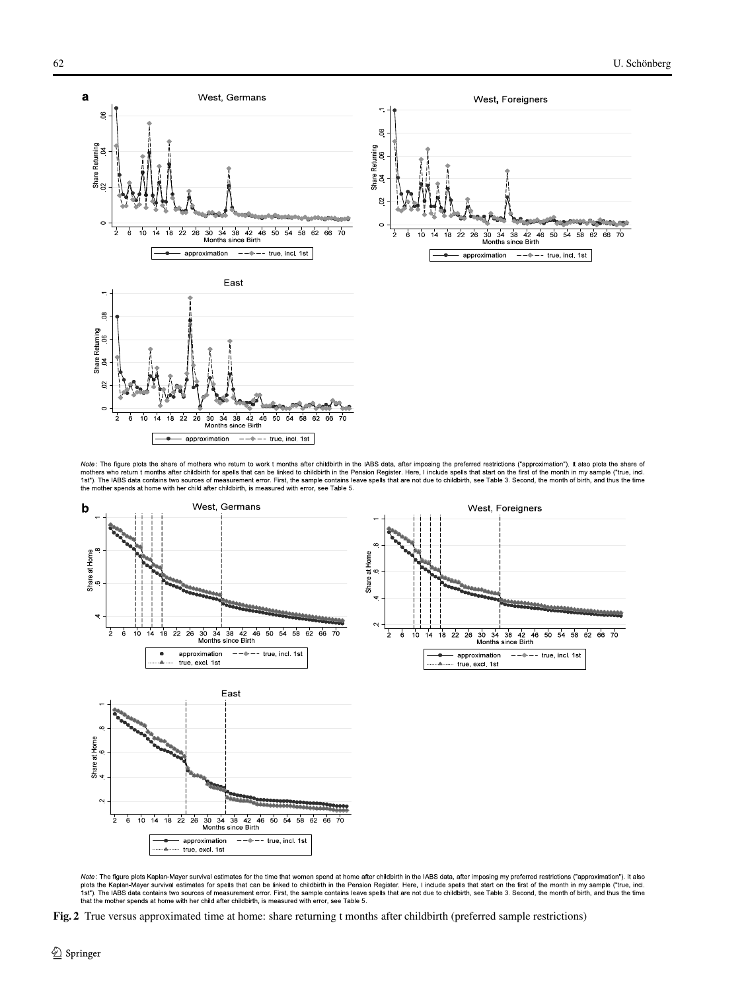

Note: The figure plots the share of mothers who return to work t months after childbirth in the IABS data, after imposing the preferred restrictions ("approximation"). It also plots the share of<br>mothers who return t months the mothe r spends at home with her child after childbirth, is measured with error, see Table 5.

approximation

 $--+--$  true, incl. 1st



Note: The figure plots Kaplan-Mayer survival estimates for the time that women spend at home after childbirth in the IABS data, after imposing my preferred restrictions ("approximation"). It also<br>plots the Kaplan-Mayer sur

**Fig. 2** True versus approximated time at home: share returning t months after childbirth (preferred sample restrictions)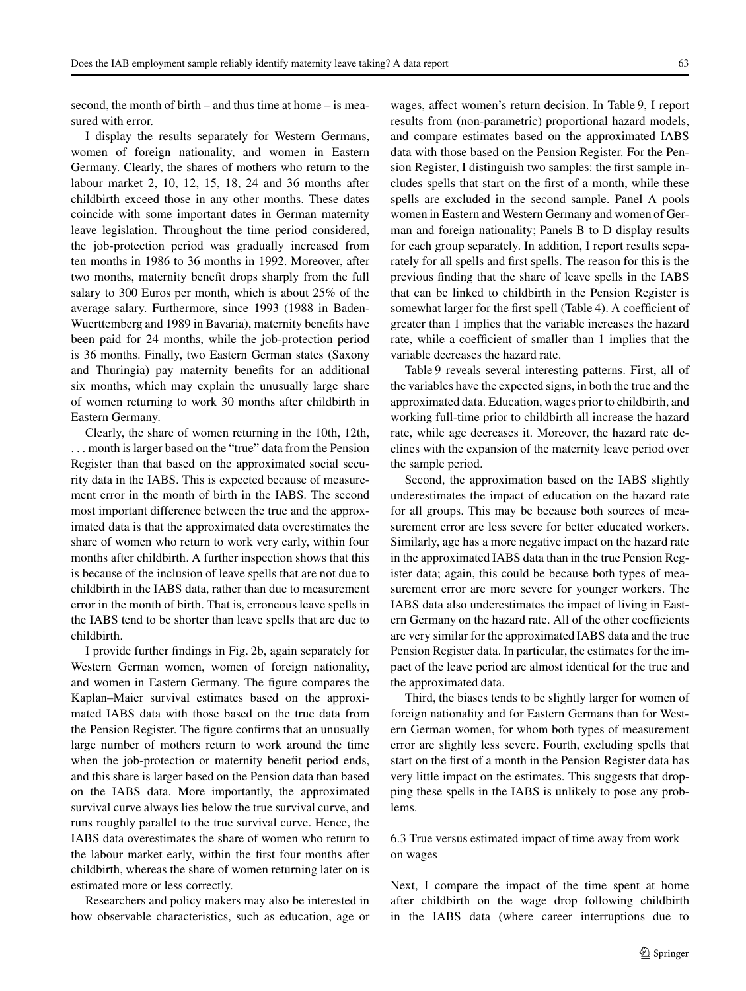second, the month of birth – and thus time at home – is measured with error.

I display the results separately for Western Germans, women of foreign nationality, and women in Eastern Germany. Clearly, the shares of mothers who return to the labour market 2, 10, 12, 15, 18, 24 and 36 months after childbirth exceed those in any other months. These dates coincide with some important dates in German maternity leave legislation. Throughout the time period considered, the job-protection period was gradually increased from ten months in 1986 to 36 months in 1992. Moreover, after two months, maternity benefit drops sharply from the full salary to 300 Euros per month, which is about 25% of the average salary. Furthermore, since 1993 (1988 in Baden-Wuerttemberg and 1989 in Bavaria), maternity benefits have been paid for 24 months, while the job-protection period is 36 months. Finally, two Eastern German states (Saxony and Thuringia) pay maternity benefits for an additional six months, which may explain the unusually large share of women returning to work 30 months after childbirth in Eastern Germany.

Clearly, the share of women returning in the 10th, 12th, *...* month is larger based on the "true" data from the Pension Register than that based on the approximated social security data in the IABS. This is expected because of measurement error in the month of birth in the IABS. The second most important difference between the true and the approximated data is that the approximated data overestimates the share of women who return to work very early, within four months after childbirth. A further inspection shows that this is because of the inclusion of leave spells that are not due to childbirth in the IABS data, rather than due to measurement error in the month of birth. That is, erroneous leave spells in the IABS tend to be shorter than leave spells that are due to childbirth.

I provide further findings in Fig. 2b, again separately for Western German women, women of foreign nationality, and women in Eastern Germany. The figure compares the Kaplan–Maier survival estimates based on the approximated IABS data with those based on the true data from the Pension Register. The figure confirms that an unusually large number of mothers return to work around the time when the job-protection or maternity benefit period ends, and this share is larger based on the Pension data than based on the IABS data. More importantly, the approximated survival curve always lies below the true survival curve, and runs roughly parallel to the true survival curve. Hence, the IABS data overestimates the share of women who return to the labour market early, within the first four months after childbirth, whereas the share of women returning later on is estimated more or less correctly.

Researchers and policy makers may also be interested in how observable characteristics, such as education, age or wages, affect women's return decision. In Table 9, I report results from (non-parametric) proportional hazard models, and compare estimates based on the approximated IABS data with those based on the Pension Register. For the Pension Register, I distinguish two samples: the first sample includes spells that start on the first of a month, while these spells are excluded in the second sample. Panel A pools women in Eastern and Western Germany and women of German and foreign nationality; Panels B to D display results for each group separately. In addition, I report results separately for all spells and first spells. The reason for this is the previous finding that the share of leave spells in the IABS that can be linked to childbirth in the Pension Register is somewhat larger for the first spell (Table 4). A coefficient of greater than 1 implies that the variable increases the hazard rate, while a coefficient of smaller than 1 implies that the variable decreases the hazard rate.

Table 9 reveals several interesting patterns. First, all of the variables have the expected signs, in both the true and the approximated data. Education, wages prior to childbirth, and working full-time prior to childbirth all increase the hazard rate, while age decreases it. Moreover, the hazard rate declines with the expansion of the maternity leave period over the sample period.

Second, the approximation based on the IABS slightly underestimates the impact of education on the hazard rate for all groups. This may be because both sources of measurement error are less severe for better educated workers. Similarly, age has a more negative impact on the hazard rate in the approximated IABS data than in the true Pension Register data; again, this could be because both types of measurement error are more severe for younger workers. The IABS data also underestimates the impact of living in Eastern Germany on the hazard rate. All of the other coefficients are very similar for the approximated IABS data and the true Pension Register data. In particular, the estimates for the impact of the leave period are almost identical for the true and the approximated data.

Third, the biases tends to be slightly larger for women of foreign nationality and for Eastern Germans than for Western German women, for whom both types of measurement error are slightly less severe. Fourth, excluding spells that start on the first of a month in the Pension Register data has very little impact on the estimates. This suggests that dropping these spells in the IABS is unlikely to pose any problems.

6.3 True versus estimated impact of time away from work on wages

Next, I compare the impact of the time spent at home after childbirth on the wage drop following childbirth in the IABS data (where career interruptions due to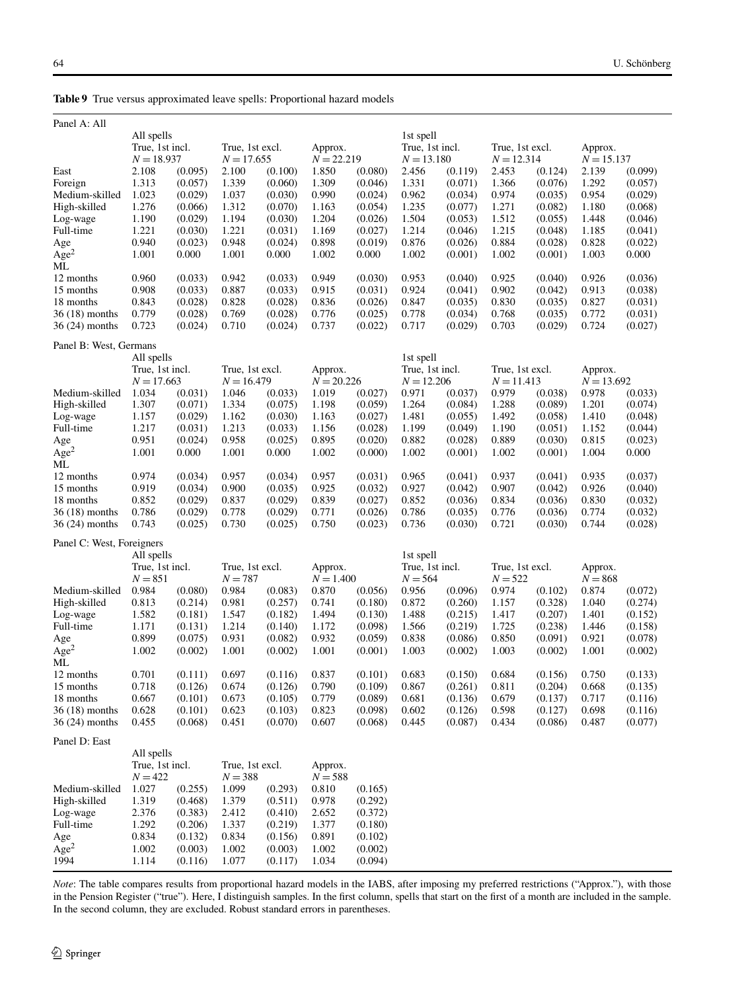|  |  | Table 9 True versus approximated leave spells: Proportional hazard models |  |  |  |  |
|--|--|---------------------------------------------------------------------------|--|--|--|--|
|--|--|---------------------------------------------------------------------------|--|--|--|--|

| Panel A: All              |                 |         |                 |         |              |         |                 |         |                 |         |              |         |
|---------------------------|-----------------|---------|-----------------|---------|--------------|---------|-----------------|---------|-----------------|---------|--------------|---------|
|                           | All spells      |         |                 |         |              |         | 1st spell       |         |                 |         |              |         |
|                           | True, 1st incl. |         | True, 1st excl. |         | Approx.      |         | True, 1st incl. |         | True, 1st excl. |         | Approx.      |         |
|                           | $N = 18.937$    |         | $N = 17.655$    |         | $N = 22.219$ |         | $N = 13.180$    |         | $N = 12.314$    |         | $N = 15.137$ |         |
| East                      | 2.108           | (0.095) | 2.100           | (0.100) | 1.850        | (0.080) | 2.456           | (0.119) | 2.453           | (0.124) | 2.139        | (0.099) |
| Foreign                   | 1.313           | (0.057) | 1.339           | (0.060) | 1.309        | (0.046) | 1.331           | (0.071) | 1.366           | (0.076) | 1.292        | (0.057) |
| Medium-skilled            | 1.023           | (0.029) | 1.037           | (0.030) | 0.990        | (0.024) | 0.962           | (0.034) | 0.974           | (0.035) | 0.954        | (0.029) |
| High-skilled              | 1.276           | (0.066) | 1.312           | (0.070) | 1.163        | (0.054) | 1.235           | (0.077) | 1.271           | (0.082) | 1.180        | (0.068) |
| Log-wage                  | 1.190           | (0.029) | 1.194           | (0.030) | 1.204        | (0.026) | 1.504           | (0.053) | 1.512           | (0.055) | 1.448        | (0.046) |
| Full-time                 | 1.221           | (0.030) | 1.221           | (0.031) | 1.169        | (0.027) | 1.214           | (0.046) | 1.215           | (0.048) | 1.185        | (0.041) |
| Age                       | 0.940           | (0.023) | 0.948           | (0.024) | 0.898        | (0.019) | 0.876           | (0.026) | 0.884           | (0.028) | 0.828        | (0.022) |
| Age <sup>2</sup>          | 1.001           | 0.000   | 1.001           | 0.000   | 1.002        | 0.000   | 1.002           | (0.001) | 1.002           | (0.001) | 1.003        | 0.000   |
| ML                        |                 |         |                 |         |              |         |                 |         |                 |         |              |         |
| 12 months                 | 0.960           | (0.033) | 0.942           | (0.033) | 0.949        | (0.030) | 0.953           | (0.040) | 0.925           | (0.040) | 0.926        | (0.036) |
| 15 months                 | 0.908           | (0.033) | 0.887           | (0.033) | 0.915        | (0.031) | 0.924           | (0.041) | 0.902           | (0.042) | 0.913        | (0.038) |
| 18 months                 | 0.843           |         | 0.828           |         | 0.836        |         | 0.847           |         | 0.830           |         | 0.827        |         |
|                           |                 | (0.028) |                 | (0.028) |              | (0.026) |                 | (0.035) |                 | (0.035) |              | (0.031) |
| 36 (18) months            | 0.779           | (0.028) | 0.769           | (0.028) | 0.776        | (0.025) | 0.778           | (0.034) | 0.768           | (0.035) | 0.772        | (0.031) |
| 36 (24) months            | 0.723           | (0.024) | 0.710           | (0.024) | 0.737        | (0.022) | 0.717           | (0.029) | 0.703           | (0.029) | 0.724        | (0.027) |
| Panel B: West, Germans    |                 |         |                 |         |              |         |                 |         |                 |         |              |         |
|                           | All spells      |         |                 |         |              |         | 1st spell       |         |                 |         |              |         |
|                           | True. 1st incl. |         | True, 1st excl. |         | Approx.      |         | True, 1st incl. |         | True, 1st excl. |         | Approx.      |         |
|                           | $N = 17.663$    |         | $N = 16.479$    |         | $N = 20.226$ |         | $N = 12.206$    |         | $N = 11.413$    |         | $N = 13.692$ |         |
| Medium-skilled            | 1.034           | (0.031) | 1.046           | (0.033) | 1.019        | (0.027) | 0.971           | (0.037) | 0.979           | (0.038) | 0.978        | (0.033) |
| High-skilled              | 1.307           | (0.071) | 1.334           | (0.075) | 1.198        | (0.059) | 1.264           | (0.084) | 1.288           | (0.089) | 1.201        | (0.074) |
|                           |                 |         |                 |         |              |         |                 |         |                 |         |              |         |
| Log-wage                  | 1.157           | (0.029) | 1.162           | (0.030) | 1.163        | (0.027) | 1.481           | (0.055) | 1.492           | (0.058) | 1.410        | (0.048) |
| Full-time                 | 1.217           | (0.031) | 1.213           | (0.033) | 1.156        | (0.028) | 1.199           | (0.049) | 1.190           | (0.051) | 1.152        | (0.044) |
| Age                       | 0.951           | (0.024) | 0.958           | (0.025) | 0.895        | (0.020) | 0.882           | (0.028) | 0.889           | (0.030) | 0.815        | (0.023) |
| Age <sup>2</sup>          | 1.001           | 0.000   | 1.001           | 0.000   | 1.002        | (0.000) | 1.002           | (0.001) | 1.002           | (0.001) | 1.004        | 0.000   |
| ML                        |                 |         |                 |         |              |         |                 |         |                 |         |              |         |
| 12 months                 | 0.974           | (0.034) | 0.957           | (0.034) | 0.957        | (0.031) | 0.965           | (0.041) | 0.937           | (0.041) | 0.935        | (0.037) |
| 15 months                 | 0.919           | (0.034) | 0.900           | (0.035) | 0.925        | (0.032) | 0.927           | (0.042) | 0.907           | (0.042) | 0.926        | (0.040) |
| 18 months                 | 0.852           | (0.029) | 0.837           | (0.029) | 0.839        | (0.027) | 0.852           | (0.036) | 0.834           | (0.036) | 0.830        | (0.032) |
| 36 (18) months            | 0.786           | (0.029) | 0.778           | (0.029) | 0.771        | (0.026) | 0.786           | (0.035) | 0.776           | (0.036) | 0.774        | (0.032) |
| 36 (24) months            | 0.743           | (0.025) | 0.730           | (0.025) | 0.750        | (0.023) | 0.736           | (0.030) | 0.721           | (0.030) | 0.744        | (0.028) |
|                           |                 |         |                 |         |              |         |                 |         |                 |         |              |         |
| Panel C: West, Foreigners |                 |         |                 |         |              |         |                 |         |                 |         |              |         |
|                           | All spells      |         |                 |         |              |         | 1st spell       |         |                 |         |              |         |
|                           | True, 1st incl. |         | True, 1st excl. |         | Approx.      |         | True, 1st incl. |         | True, 1st excl. |         | Approx.      |         |
|                           | $N = 851$       |         | $N = 787$       |         | $N = 1.400$  |         | $N = 564$       |         | $N = 522$       |         | $N = 868$    |         |
| Medium-skilled            | 0.984           | (0.080) | 0.984           | (0.083) | 0.870        | (0.056) | 0.956           | (0.096) | 0.974           | (0.102) | 0.874        | (0.072) |
| High-skilled              | 0.813           | (0.214) | 0.981           | (0.257) | 0.741        | (0.180) | 0.872           | (0.260) | 1.157           | (0.328) | 1.040        | (0.274) |
| Log-wage                  | 1.582           | (0.181) | 1.547           | (0.182) | 1.494        | (0.130) | 1.488           | (0.215) | 1.417           | (0.207) | 1.401        | (0.152) |
| Full-time                 | 1.171           | (0.131) | 1.214           | (0.140) | 1.172        | (0.098) | 1.566           | (0.219) | 1.725           | (0.238) | 1.446        | (0.158) |
| Age                       | 0.899           | (0.075) | 0.931           | (0.082) | 0.932        | (0.059) | 0.838           | (0.086) | 0.850           | (0.091) | 0.921        | (0.078) |
| Age <sup>2</sup>          | 1.002           | (0.002) | 1.001           | (0.002) | 1.001        | (0.001) | 1.003           | (0.002) | 1.003           | (0.002) | 1.001        | (0.002) |
| ML                        |                 |         |                 |         |              |         |                 |         |                 |         |              |         |
| 12 months                 | 0.701           | (0.111) | 0.697           | (0.116) | 0.837        | (0.101) | 0.683           | (0.150) | 0.684           | (0.156) | 0.750        | (0.133) |
| 15 months                 | 0.718           | (0.126) | 0.674           | (0.126) | 0.790        | (0.109) | 0.867           | (0.261) | 0.811           | (0.204) | 0.668        | (0.135) |
| 18 months                 | 0.667           | (0.101) | 0.673           | (0.105) | 0.779        | (0.089) | 0.681           | (0.136) | 0.679           | (0.137) | 0.717        | (0.116) |
| 36 (18) months            | 0.628           | (0.101) | 0.623           | (0.103) | 0.823        | (0.098) | 0.602           | (0.126) | 0.598           | (0.127) | 0.698        | (0.116) |
| 36 (24) months            | 0.455           | (0.068) | 0.451           | (0.070) | 0.607        | (0.068) | 0.445           | (0.087) | 0.434           | (0.086) | 0.487        | (0.077) |
|                           |                 |         |                 |         |              |         |                 |         |                 |         |              |         |
| Panel D: East             |                 |         |                 |         |              |         |                 |         |                 |         |              |         |
|                           | All spells      |         |                 |         |              |         |                 |         |                 |         |              |         |
|                           | True, 1st incl. |         | True, 1st excl. |         | Approx.      |         |                 |         |                 |         |              |         |
|                           | $N = 422$       |         | $N = 388$       |         | $N = 588$    |         |                 |         |                 |         |              |         |
| Medium-skilled            | 1.027           | (0.255) | 1.099           | (0.293) | 0.810        | (0.165) |                 |         |                 |         |              |         |
| High-skilled              | 1.319           | (0.468) | 1.379           | (0.511) | 0.978        | (0.292) |                 |         |                 |         |              |         |
|                           |                 |         |                 |         |              |         |                 |         |                 |         |              |         |
| Log-wage                  | 2.376           | (0.383) | 2.412           | (0.410) | 2.652        | (0.372) |                 |         |                 |         |              |         |
| Full-time                 | 1.292           | (0.206) | 1.337           | (0.219) | 1.377        | (0.180) |                 |         |                 |         |              |         |
| Age                       | 0.834           | (0.132) | 0.834           | (0.156) | 0.891        | (0.102) |                 |         |                 |         |              |         |
| Age <sup>2</sup>          | 1.002           | (0.003) | 1.002           | (0.003) | 1.002        | (0.002) |                 |         |                 |         |              |         |
| 1994                      | 1.114           | (0.116) | 1.077           | (0.117) | 1.034        | (0.094) |                 |         |                 |         |              |         |

*Note*: The table compares results from proportional hazard models in the IABS, after imposing my preferred restrictions ("Approx."), with those in the Pension Register ("true"). Here, I distinguish samples. In the first column, spells that start on the first of a month are included in the sample. In the second column, they are excluded. Robust standard errors in parentheses.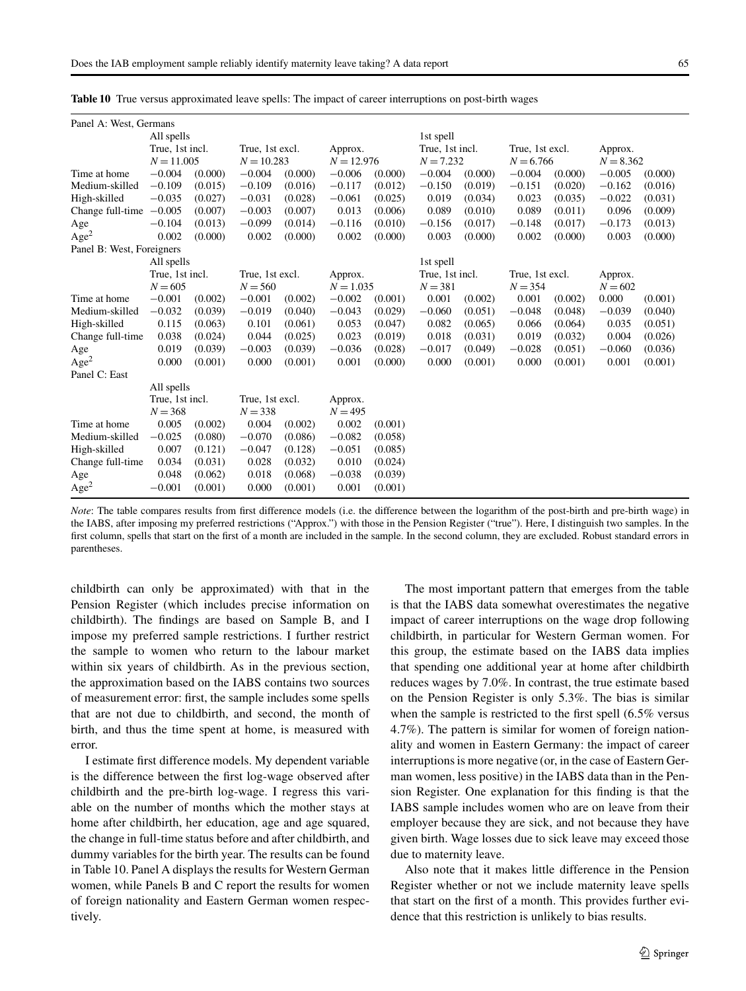| Panel A: West, Germans    |                 |         |                 |         |              |         |                 |         |                 |         |             |         |
|---------------------------|-----------------|---------|-----------------|---------|--------------|---------|-----------------|---------|-----------------|---------|-------------|---------|
|                           | All spells      |         |                 |         |              |         | 1st spell       |         |                 |         |             |         |
|                           | True, 1st incl. |         | True, 1st excl. |         | Approx.      |         | True, 1st incl. |         | True, 1st excl. |         | Approx.     |         |
|                           | $N = 11.005$    |         | $N = 10.283$    |         | $N = 12.976$ |         | $N = 7.232$     |         | $N = 6.766$     |         | $N = 8.362$ |         |
| Time at home              | $-0.004$        | (0.000) | $-0.004$        | (0.000) | $-0.006$     | (0.000) | $-0.004$        | (0.000) | $-0.004$        | (0.000) | $-0.005$    | (0.000) |
| Medium-skilled            | $-0.109$        | (0.015) | $-0.109$        | (0.016) | $-0.117$     | (0.012) | $-0.150$        | (0.019) | $-0.151$        | (0.020) | $-0.162$    | (0.016) |
| High-skilled              | $-0.035$        | (0.027) | $-0.031$        | (0.028) | $-0.061$     | (0.025) | 0.019           | (0.034) | 0.023           | (0.035) | $-0.022$    | (0.031) |
| Change full-time          | $-0.005$        | (0.007) | $-0.003$        | (0.007) | 0.013        | (0.006) | 0.089           | (0.010) | 0.089           | (0.011) | 0.096       | (0.009) |
| Age                       | $-0.104$        | (0.013) | $-0.099$        | (0.014) | $-0.116$     | (0.010) | $-0.156$        | (0.017) | $-0.148$        | (0.017) | $-0.173$    | (0.013) |
| Age <sup>2</sup>          | 0.002           | (0.000) | 0.002           | (0.000) | 0.002        | (0.000) | 0.003           | (0.000) | 0.002           | (0.000) | 0.003       | (0.000) |
| Panel B: West, Foreigners |                 |         |                 |         |              |         |                 |         |                 |         |             |         |
|                           | All spells      |         |                 |         |              |         | 1st spell       |         |                 |         |             |         |
|                           | True, 1st incl. |         | True, 1st excl. |         | Approx.      |         | True, 1st incl. |         | True, 1st excl. |         | Approx.     |         |
|                           | $N = 605$       |         | $N = 560$       |         | $N = 1.035$  |         | $N = 381$       |         | $N = 354$       |         | $N = 602$   |         |
| Time at home              | $-0.001$        | (0.002) | $-0.001$        | (0.002) | $-0.002$     | (0.001) | 0.001           | (0.002) | 0.001           | (0.002) | 0.000       | (0.001) |
| Medium-skilled            | $-0.032$        | (0.039) | $-0.019$        | (0.040) | $-0.043$     | (0.029) | $-0.060$        | (0.051) | $-0.048$        | (0.048) | $-0.039$    | (0.040) |
| High-skilled              | 0.115           | (0.063) | 0.101           | (0.061) | 0.053        | (0.047) | 0.082           | (0.065) | 0.066           | (0.064) | 0.035       | (0.051) |
| Change full-time          | 0.038           | (0.024) | 0.044           | (0.025) | 0.023        | (0.019) | 0.018           | (0.031) | 0.019           | (0.032) | 0.004       | (0.026) |
| Age                       | 0.019           | (0.039) | $-0.003$        | (0.039) | $-0.036$     | (0.028) | $-0.017$        | (0.049) | $-0.028$        | (0.051) | $-0.060$    | (0.036) |
| Age <sup>2</sup>          | 0.000           | (0.001) | 0.000           | (0.001) | 0.001        | (0.000) | 0.000           | (0.001) | 0.000           | (0.001) | 0.001       | (0.001) |
| Panel C: East             |                 |         |                 |         |              |         |                 |         |                 |         |             |         |
|                           | All spells      |         |                 |         |              |         |                 |         |                 |         |             |         |
|                           | True, 1st incl. |         | True, 1st excl. |         | Approx.      |         |                 |         |                 |         |             |         |
|                           | $N = 368$       |         | $N = 338$       |         | $N = 495$    |         |                 |         |                 |         |             |         |
| Time at home              | 0.005           | (0.002) | 0.004           | (0.002) | 0.002        | (0.001) |                 |         |                 |         |             |         |
| Medium-skilled            | $-0.025$        | (0.080) | $-0.070$        | (0.086) | $-0.082$     | (0.058) |                 |         |                 |         |             |         |
| High-skilled              | 0.007           | (0.121) | $-0.047$        | (0.128) | $-0.051$     | (0.085) |                 |         |                 |         |             |         |
| Change full-time          | 0.034           | (0.031) | 0.028           | (0.032) | 0.010        | (0.024) |                 |         |                 |         |             |         |
| Age                       | 0.048           | (0.062) | 0.018           | (0.068) | $-0.038$     | (0.039) |                 |         |                 |         |             |         |
| Age <sup>2</sup>          | $-0.001$        | (0.001) | 0.000           | (0.001) | 0.001        | (0.001) |                 |         |                 |         |             |         |
|                           |                 |         |                 |         |              |         |                 |         |                 |         |             |         |

**Table 10** True versus approximated leave spells: The impact of career interruptions on post-birth wages

*Note*: The table compares results from first difference models (i.e. the difference between the logarithm of the post-birth and pre-birth wage) in the IABS, after imposing my preferred restrictions ("Approx.") with those in the Pension Register ("true"). Here, I distinguish two samples. In the first column, spells that start on the first of a month are included in the sample. In the second column, they are excluded. Robust standard errors in parentheses.

childbirth can only be approximated) with that in the Pension Register (which includes precise information on childbirth). The findings are based on Sample B, and I impose my preferred sample restrictions. I further restrict the sample to women who return to the labour market within six years of childbirth. As in the previous section, the approximation based on the IABS contains two sources of measurement error: first, the sample includes some spells that are not due to childbirth, and second, the month of birth, and thus the time spent at home, is measured with error.

I estimate first difference models. My dependent variable is the difference between the first log-wage observed after childbirth and the pre-birth log-wage. I regress this variable on the number of months which the mother stays at home after childbirth, her education, age and age squared, the change in full-time status before and after childbirth, and dummy variables for the birth year. The results can be found in Table 10. Panel A displays the results for Western German women, while Panels B and C report the results for women of foreign nationality and Eastern German women respectively.

The most important pattern that emerges from the table is that the IABS data somewhat overestimates the negative impact of career interruptions on the wage drop following childbirth, in particular for Western German women. For this group, the estimate based on the IABS data implies that spending one additional year at home after childbirth reduces wages by 7.0%. In contrast, the true estimate based on the Pension Register is only 5.3%. The bias is similar when the sample is restricted to the first spell (6.5% versus 4.7%). The pattern is similar for women of foreign nationality and women in Eastern Germany: the impact of career interruptions is more negative (or, in the case of Eastern German women, less positive) in the IABS data than in the Pension Register. One explanation for this finding is that the IABS sample includes women who are on leave from their employer because they are sick, and not because they have given birth. Wage losses due to sick leave may exceed those due to maternity leave.

Also note that it makes little difference in the Pension Register whether or not we include maternity leave spells that start on the first of a month. This provides further evidence that this restriction is unlikely to bias results.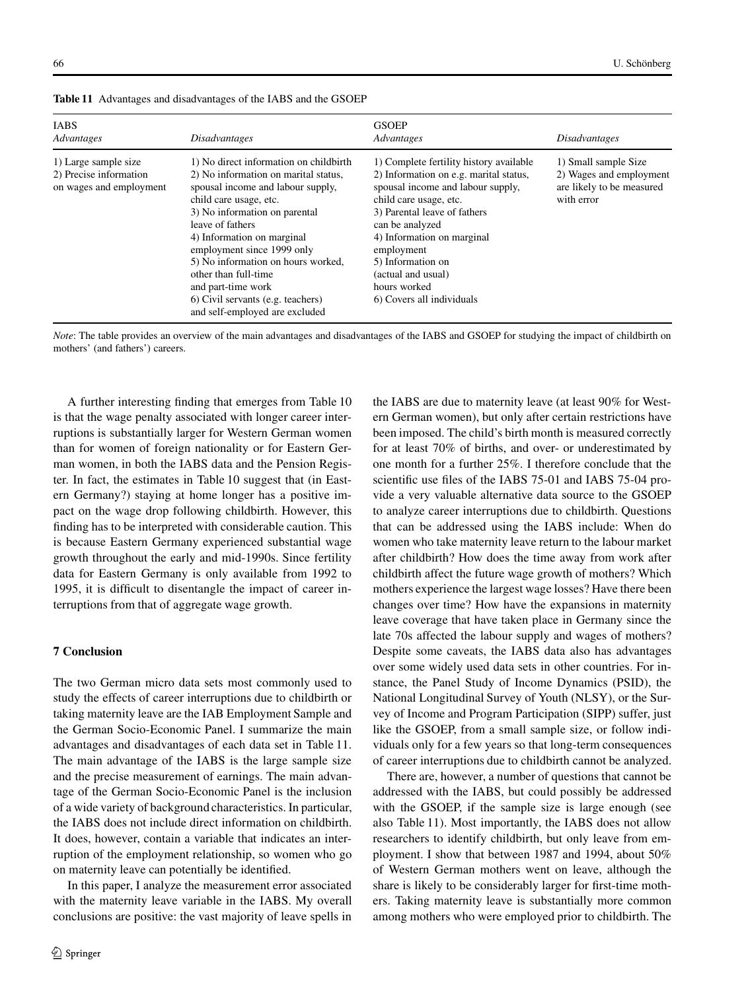| <b>IABS</b><br>Advantages                                                 | <i>Disadvantages</i>                                                                                                                                                                                                                                                                                                                                                                                                      | <b>GSOEP</b><br>Advantages                                                                                                                                                                                                                                                                                                              | <i>Disadvantages</i>                                                                       |
|---------------------------------------------------------------------------|---------------------------------------------------------------------------------------------------------------------------------------------------------------------------------------------------------------------------------------------------------------------------------------------------------------------------------------------------------------------------------------------------------------------------|-----------------------------------------------------------------------------------------------------------------------------------------------------------------------------------------------------------------------------------------------------------------------------------------------------------------------------------------|--------------------------------------------------------------------------------------------|
| 1) Large sample size<br>2) Precise information<br>on wages and employment | 1) No direct information on childbirth<br>2) No information on marital status,<br>spousal income and labour supply,<br>child care usage, etc.<br>3) No information on parental<br>leave of fathers<br>4) Information on marginal<br>employment since 1999 only<br>5) No information on hours worked,<br>other than full-time<br>and part-time work<br>6) Civil servants (e.g. teachers)<br>and self-employed are excluded | 1) Complete fertility history available<br>2) Information on e.g. marital status,<br>spousal income and labour supply,<br>child care usage, etc.<br>3) Parental leave of fathers<br>can be analyzed<br>4) Information on marginal<br>employment<br>5) Information on<br>(actual and usual)<br>hours worked<br>6) Covers all individuals | 1) Small sample Size<br>2) Wages and employment<br>are likely to be measured<br>with error |

**Table 11** Advantages and disadvantages of the IABS and the GSOEP

*Note*: The table provides an overview of the main advantages and disadvantages of the IABS and GSOEP for studying the impact of childbirth on mothers' (and fathers') careers.

A further interesting finding that emerges from Table 10 is that the wage penalty associated with longer career interruptions is substantially larger for Western German women than for women of foreign nationality or for Eastern German women, in both the IABS data and the Pension Register. In fact, the estimates in Table 10 suggest that (in Eastern Germany?) staying at home longer has a positive impact on the wage drop following childbirth. However, this finding has to be interpreted with considerable caution. This is because Eastern Germany experienced substantial wage growth throughout the early and mid-1990s. Since fertility data for Eastern Germany is only available from 1992 to 1995, it is difficult to disentangle the impact of career interruptions from that of aggregate wage growth.

## **7 Conclusion**

The two German micro data sets most commonly used to study the effects of career interruptions due to childbirth or taking maternity leave are the IAB Employment Sample and the German Socio-Economic Panel. I summarize the main advantages and disadvantages of each data set in Table 11. The main advantage of the IABS is the large sample size and the precise measurement of earnings. The main advantage of the German Socio-Economic Panel is the inclusion of a wide variety of background characteristics. In particular, the IABS does not include direct information on childbirth. It does, however, contain a variable that indicates an interruption of the employment relationship, so women who go on maternity leave can potentially be identified.

In this paper, I analyze the measurement error associated with the maternity leave variable in the IABS. My overall conclusions are positive: the vast majority of leave spells in the IABS are due to maternity leave (at least 90% for Western German women), but only after certain restrictions have been imposed. The child's birth month is measured correctly for at least 70% of births, and over- or underestimated by one month for a further 25%. I therefore conclude that the scientific use files of the IABS 75-01 and IABS 75-04 provide a very valuable alternative data source to the GSOEP to analyze career interruptions due to childbirth. Questions that can be addressed using the IABS include: When do women who take maternity leave return to the labour market after childbirth? How does the time away from work after childbirth affect the future wage growth of mothers? Which mothers experience the largest wage losses? Have there been changes over time? How have the expansions in maternity leave coverage that have taken place in Germany since the late 70s affected the labour supply and wages of mothers? Despite some caveats, the IABS data also has advantages over some widely used data sets in other countries. For instance, the Panel Study of Income Dynamics (PSID), the National Longitudinal Survey of Youth (NLSY), or the Survey of Income and Program Participation (SIPP) suffer, just like the GSOEP, from a small sample size, or follow individuals only for a few years so that long-term consequences of career interruptions due to childbirth cannot be analyzed.

There are, however, a number of questions that cannot be addressed with the IABS, but could possibly be addressed with the GSOEP, if the sample size is large enough (see also Table 11). Most importantly, the IABS does not allow researchers to identify childbirth, but only leave from employment. I show that between 1987 and 1994, about 50% of Western German mothers went on leave, although the share is likely to be considerably larger for first-time mothers. Taking maternity leave is substantially more common among mothers who were employed prior to childbirth. The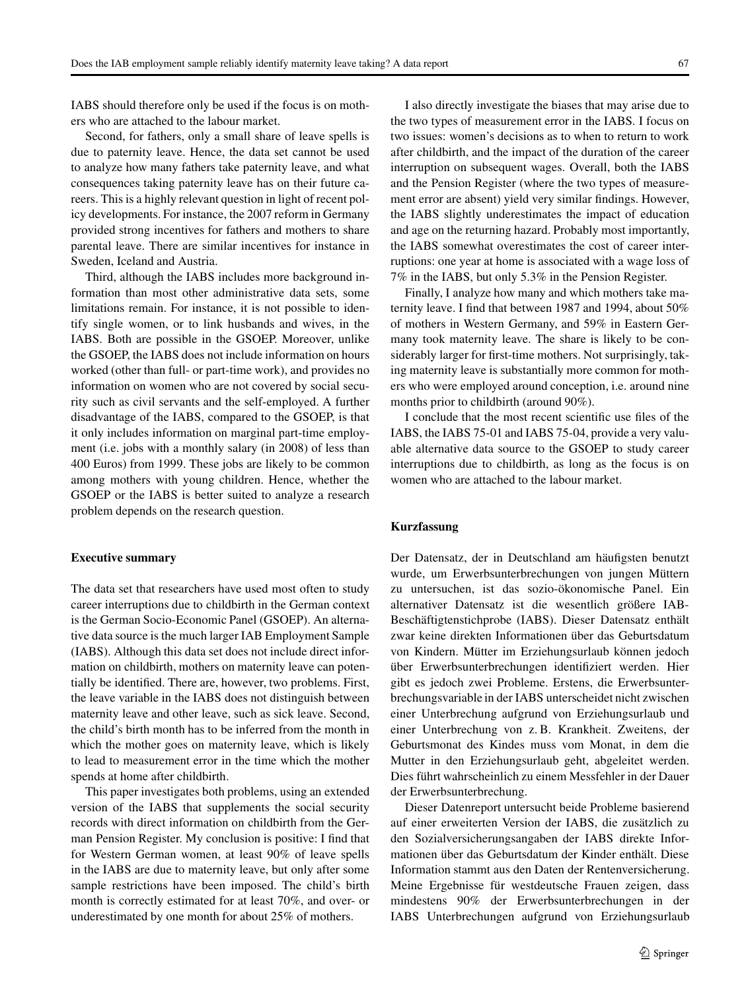IABS should therefore only be used if the focus is on mothers who are attached to the labour market.

Second, for fathers, only a small share of leave spells is due to paternity leave. Hence, the data set cannot be used to analyze how many fathers take paternity leave, and what consequences taking paternity leave has on their future careers. This is a highly relevant question in light of recent policy developments. For instance, the 2007 reform in Germany provided strong incentives for fathers and mothers to share parental leave. There are similar incentives for instance in Sweden, Iceland and Austria.

Third, although the IABS includes more background information than most other administrative data sets, some limitations remain. For instance, it is not possible to identify single women, or to link husbands and wives, in the IABS. Both are possible in the GSOEP. Moreover, unlike the GSOEP, the IABS does not include information on hours worked (other than full- or part-time work), and provides no information on women who are not covered by social security such as civil servants and the self-employed. A further disadvantage of the IABS, compared to the GSOEP, is that it only includes information on marginal part-time employment (i.e. jobs with a monthly salary (in 2008) of less than 400 Euros) from 1999. These jobs are likely to be common among mothers with young children. Hence, whether the GSOEP or the IABS is better suited to analyze a research problem depends on the research question.

#### **Executive summary**

The data set that researchers have used most often to study career interruptions due to childbirth in the German context is the German Socio-Economic Panel (GSOEP). An alternative data source is the much larger IAB Employment Sample (IABS). Although this data set does not include direct information on childbirth, mothers on maternity leave can potentially be identified. There are, however, two problems. First, the leave variable in the IABS does not distinguish between maternity leave and other leave, such as sick leave. Second, the child's birth month has to be inferred from the month in which the mother goes on maternity leave, which is likely to lead to measurement error in the time which the mother spends at home after childbirth.

This paper investigates both problems, using an extended version of the IABS that supplements the social security records with direct information on childbirth from the German Pension Register. My conclusion is positive: I find that for Western German women, at least 90% of leave spells in the IABS are due to maternity leave, but only after some sample restrictions have been imposed. The child's birth month is correctly estimated for at least 70%, and over- or underestimated by one month for about 25% of mothers.

I also directly investigate the biases that may arise due to the two types of measurement error in the IABS. I focus on two issues: women's decisions as to when to return to work after childbirth, and the impact of the duration of the career interruption on subsequent wages. Overall, both the IABS and the Pension Register (where the two types of measurement error are absent) yield very similar findings. However, the IABS slightly underestimates the impact of education and age on the returning hazard. Probably most importantly, the IABS somewhat overestimates the cost of career interruptions: one year at home is associated with a wage loss of 7% in the IABS, but only 5.3% in the Pension Register.

Finally, I analyze how many and which mothers take maternity leave. I find that between 1987 and 1994, about 50% of mothers in Western Germany, and 59% in Eastern Germany took maternity leave. The share is likely to be considerably larger for first-time mothers. Not surprisingly, taking maternity leave is substantially more common for mothers who were employed around conception, i.e. around nine months prior to childbirth (around 90%).

I conclude that the most recent scientific use files of the IABS, the IABS 75-01 and IABS 75-04, provide a very valuable alternative data source to the GSOEP to study career interruptions due to childbirth, as long as the focus is on women who are attached to the labour market.

#### **Kurzfassung**

Der Datensatz, der in Deutschland am häufigsten benutzt wurde, um Erwerbsunterbrechungen von jungen Müttern zu untersuchen, ist das sozio-ökonomische Panel. Ein alternativer Datensatz ist die wesentlich größere IAB-Beschäftigtenstichprobe (IABS). Dieser Datensatz enthält zwar keine direkten Informationen über das Geburtsdatum von Kindern. Mütter im Erziehungsurlaub können jedoch über Erwerbsunterbrechungen identifiziert werden. Hier gibt es jedoch zwei Probleme. Erstens, die Erwerbsunterbrechungsvariable in der IABS unterscheidet nicht zwischen einer Unterbrechung aufgrund von Erziehungsurlaub und einer Unterbrechung von z. B. Krankheit. Zweitens, der Geburtsmonat des Kindes muss vom Monat, in dem die Mutter in den Erziehungsurlaub geht, abgeleitet werden. Dies führt wahrscheinlich zu einem Messfehler in der Dauer der Erwerbsunterbrechung.

Dieser Datenreport untersucht beide Probleme basierend auf einer erweiterten Version der IABS, die zusätzlich zu den Sozialversicherungsangaben der IABS direkte Informationen über das Geburtsdatum der Kinder enthält. Diese Information stammt aus den Daten der Rentenversicherung. Meine Ergebnisse für westdeutsche Frauen zeigen, dass mindestens 90% der Erwerbsunterbrechungen in der IABS Unterbrechungen aufgrund von Erziehungsurlaub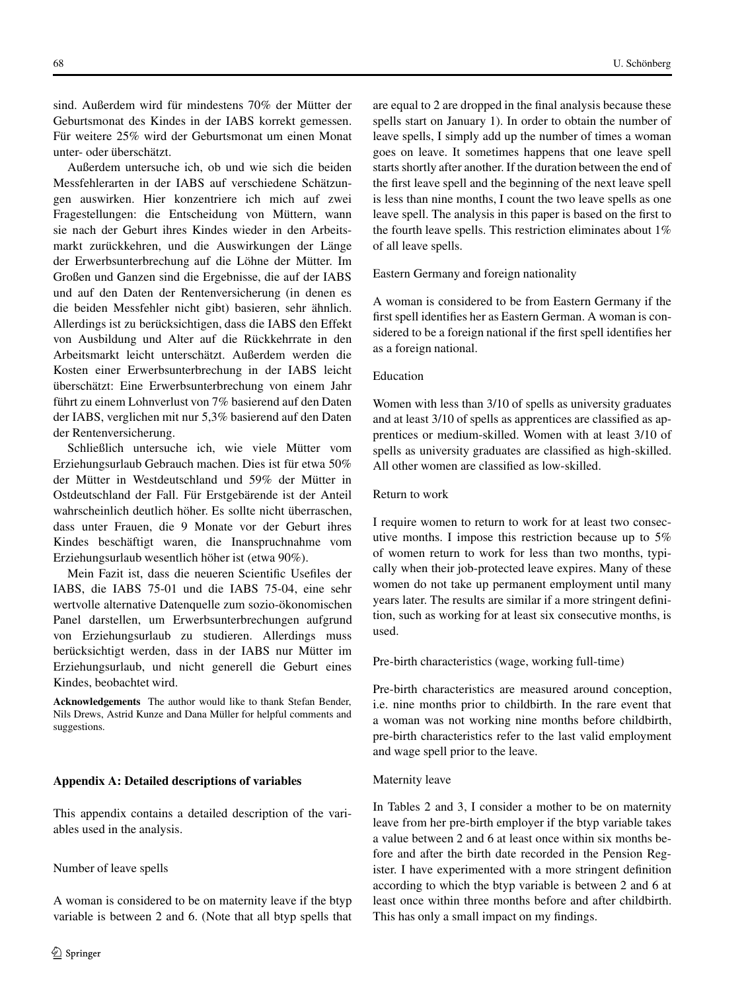sind. Außerdem wird für mindestens 70% der Mütter der Geburtsmonat des Kindes in der IABS korrekt gemessen. Für weitere 25% wird der Geburtsmonat um einen Monat unter- oder überschätzt.

Außerdem untersuche ich, ob und wie sich die beiden Messfehlerarten in der IABS auf verschiedene Schätzungen auswirken. Hier konzentriere ich mich auf zwei Fragestellungen: die Entscheidung von Müttern, wann sie nach der Geburt ihres Kindes wieder in den Arbeitsmarkt zurückkehren, und die Auswirkungen der Länge der Erwerbsunterbrechung auf die Löhne der Mütter. Im Großen und Ganzen sind die Ergebnisse, die auf der IABS und auf den Daten der Rentenversicherung (in denen es die beiden Messfehler nicht gibt) basieren, sehr ähnlich. Allerdings ist zu berücksichtigen, dass die IABS den Effekt von Ausbildung und Alter auf die Rückkehrrate in den Arbeitsmarkt leicht unterschätzt. Außerdem werden die Kosten einer Erwerbsunterbrechung in der IABS leicht überschätzt: Eine Erwerbsunterbrechung von einem Jahr führt zu einem Lohnverlust von 7% basierend auf den Daten der IABS, verglichen mit nur 5,3% basierend auf den Daten der Rentenversicherung.

Schließlich untersuche ich, wie viele Mütter vom Erziehungsurlaub Gebrauch machen. Dies ist für etwa 50% der Mütter in Westdeutschland und 59% der Mütter in Ostdeutschland der Fall. Für Erstgebärende ist der Anteil wahrscheinlich deutlich höher. Es sollte nicht überraschen, dass unter Frauen, die 9 Monate vor der Geburt ihres Kindes beschäftigt waren, die Inanspruchnahme vom Erziehungsurlaub wesentlich höher ist (etwa 90%).

Mein Fazit ist, dass die neueren Scientific Usefiles der IABS, die IABS 75-01 und die IABS 75-04, eine sehr wertvolle alternative Datenquelle zum sozio-ökonomischen Panel darstellen, um Erwerbsunterbrechungen aufgrund von Erziehungsurlaub zu studieren. Allerdings muss berücksichtigt werden, dass in der IABS nur Mütter im Erziehungsurlaub, und nicht generell die Geburt eines Kindes, beobachtet wird.

**Acknowledgements** The author would like to thank Stefan Bender, Nils Drews, Astrid Kunze and Dana Müller for helpful comments and suggestions.

### **Appendix A: Detailed descriptions of variables**

This appendix contains a detailed description of the variables used in the analysis.

#### Number of leave spells

A woman is considered to be on maternity leave if the btyp variable is between 2 and 6. (Note that all btyp spells that are equal to 2 are dropped in the final analysis because these spells start on January 1). In order to obtain the number of leave spells, I simply add up the number of times a woman goes on leave. It sometimes happens that one leave spell starts shortly after another. If the duration between the end of the first leave spell and the beginning of the next leave spell is less than nine months, I count the two leave spells as one leave spell. The analysis in this paper is based on the first to the fourth leave spells. This restriction eliminates about 1% of all leave spells.

Eastern Germany and foreign nationality

A woman is considered to be from Eastern Germany if the first spell identifies her as Eastern German. A woman is considered to be a foreign national if the first spell identifies her as a foreign national.

# Education

Women with less than 3/10 of spells as university graduates and at least 3/10 of spells as apprentices are classified as apprentices or medium-skilled. Women with at least 3/10 of spells as university graduates are classified as high-skilled. All other women are classified as low-skilled.

#### Return to work

I require women to return to work for at least two consecutive months. I impose this restriction because up to 5% of women return to work for less than two months, typically when their job-protected leave expires. Many of these women do not take up permanent employment until many years later. The results are similar if a more stringent definition, such as working for at least six consecutive months, is used.

Pre-birth characteristics (wage, working full-time)

Pre-birth characteristics are measured around conception, i.e. nine months prior to childbirth. In the rare event that a woman was not working nine months before childbirth, pre-birth characteristics refer to the last valid employment and wage spell prior to the leave.

# Maternity leave

In Tables 2 and 3, I consider a mother to be on maternity leave from her pre-birth employer if the btyp variable takes a value between 2 and 6 at least once within six months before and after the birth date recorded in the Pension Register. I have experimented with a more stringent definition according to which the btyp variable is between 2 and 6 at least once within three months before and after childbirth. This has only a small impact on my findings.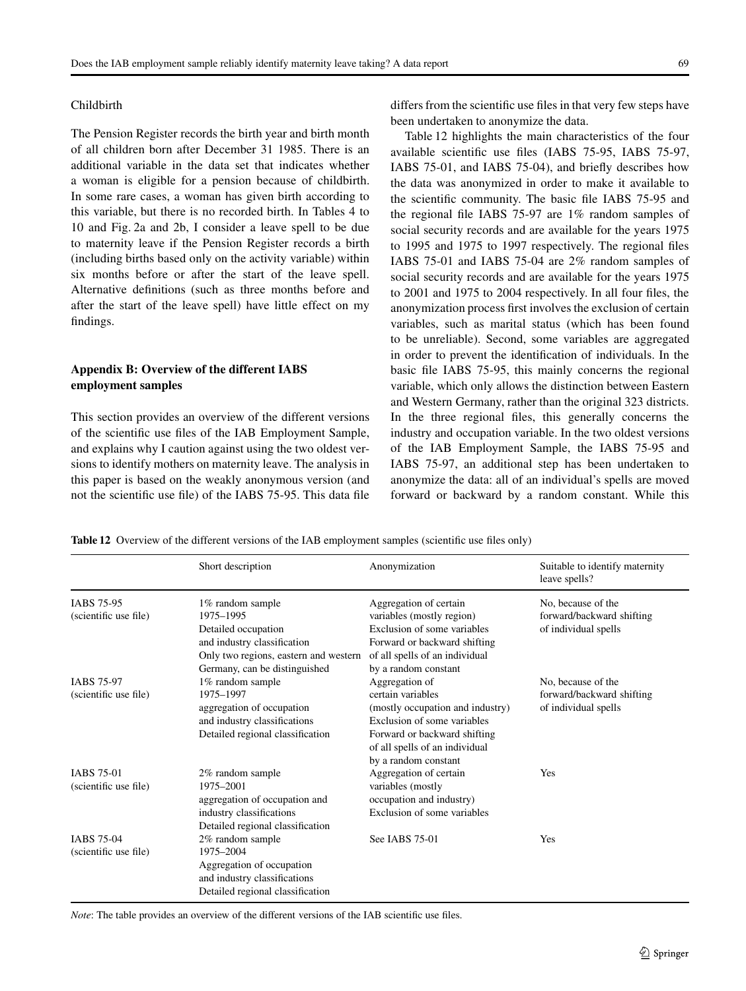## Childbirth

The Pension Register records the birth year and birth month of all children born after December 31 1985. There is an additional variable in the data set that indicates whether a woman is eligible for a pension because of childbirth. In some rare cases, a woman has given birth according to this variable, but there is no recorded birth. In Tables 4 to 10 and Fig. 2a and 2b, I consider a leave spell to be due to maternity leave if the Pension Register records a birth (including births based only on the activity variable) within six months before or after the start of the leave spell. Alternative definitions (such as three months before and after the start of the leave spell) have little effect on my findings.

# **Appendix B: Overview of the different IABS employment samples**

This section provides an overview of the different versions of the scientific use files of the IAB Employment Sample, and explains why I caution against using the two oldest versions to identify mothers on maternity leave. The analysis in this paper is based on the weakly anonymous version (and not the scientific use file) of the IABS 75-95. This data file differs from the scientific use files in that very few steps have been undertaken to anonymize the data.

Table 12 highlights the main characteristics of the four available scientific use files (IABS 75-95, IABS 75-97, IABS 75-01, and IABS 75-04), and briefly describes how the data was anonymized in order to make it available to the scientific community. The basic file IABS 75-95 and the regional file IABS 75-97 are 1% random samples of social security records and are available for the years 1975 to 1995 and 1975 to 1997 respectively. The regional files IABS 75-01 and IABS 75-04 are 2% random samples of social security records and are available for the years 1975 to 2001 and 1975 to 2004 respectively. In all four files, the anonymization process first involves the exclusion of certain variables, such as marital status (which has been found to be unreliable). Second, some variables are aggregated in order to prevent the identification of individuals. In the basic file IABS 75-95, this mainly concerns the regional variable, which only allows the distinction between Eastern and Western Germany, rather than the original 323 districts. In the three regional files, this generally concerns the industry and occupation variable. In the two oldest versions of the IAB Employment Sample, the IABS 75-95 and IABS 75-97, an additional step has been undertaken to anonymize the data: all of an individual's spells are moved forward or backward by a random constant. While this

**Table 12** Overview of the different versions of the IAB employment samples (scientific use files only)

|                       | Short description                     | Anonymization                    | Suitable to identify maternity<br>leave spells? |
|-----------------------|---------------------------------------|----------------------------------|-------------------------------------------------|
| IABS 75-95            | 1% random sample                      | Aggregation of certain           | No. because of the                              |
| (scientific use file) | 1975-1995                             | variables (mostly region)        | forward/backward shifting                       |
|                       | Detailed occupation                   | Exclusion of some variables      | of individual spells                            |
|                       | and industry classification           | Forward or backward shifting     |                                                 |
|                       | Only two regions, eastern and western | of all spells of an individual   |                                                 |
|                       | Germany, can be distinguished         | by a random constant             |                                                 |
| IABS 75-97            | 1% random sample                      | Aggregation of                   | No. because of the                              |
| (scientific use file) | 1975-1997                             | certain variables                | forward/backward shifting                       |
|                       | aggregation of occupation             | (mostly occupation and industry) | of individual spells                            |
|                       | and industry classifications          | Exclusion of some variables      |                                                 |
|                       | Detailed regional classification      | Forward or backward shifting     |                                                 |
|                       |                                       | of all spells of an individual   |                                                 |
|                       |                                       | by a random constant             |                                                 |
| <b>IABS 75-01</b>     | 2% random sample                      | Aggregation of certain           | Yes                                             |
| (scientific use file) | 1975-2001                             | variables (mostly                |                                                 |
|                       | aggregation of occupation and         | occupation and industry)         |                                                 |
|                       | industry classifications              | Exclusion of some variables      |                                                 |
|                       | Detailed regional classification      |                                  |                                                 |
| IABS 75-04            | 2% random sample                      | See IABS 75-01                   | Yes                                             |
| (scientific use file) | 1975-2004                             |                                  |                                                 |
|                       | Aggregation of occupation             |                                  |                                                 |
|                       | and industry classifications          |                                  |                                                 |
|                       | Detailed regional classification      |                                  |                                                 |

*Note*: The table provides an overview of the different versions of the IAB scientific use files.